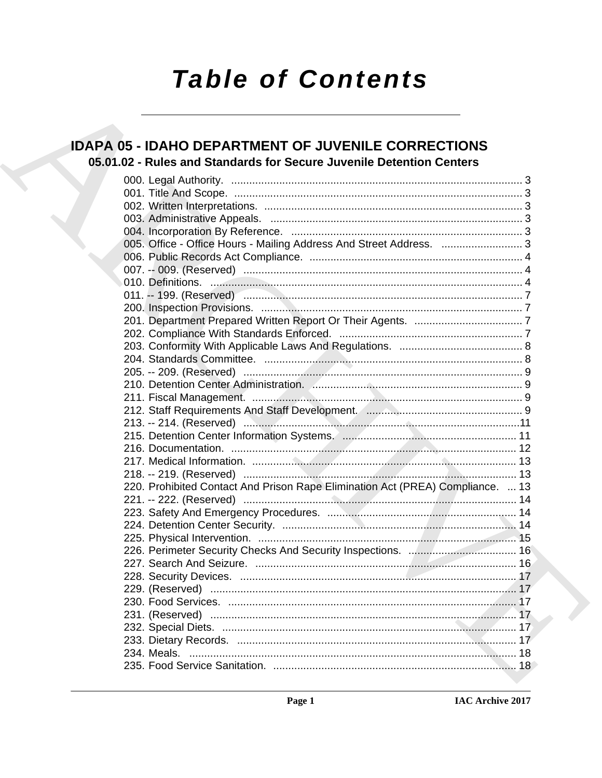# **Table of Contents**

### **IDAPA 05 - IDAHO DEPARTMENT OF JUVENILE CORRECTIONS** 05.01.02 - Rules and Standards for Secure Juvenile Detention Centers

| 005. Office - Office Hours - Mailing Address And Street Address.  3            |  |
|--------------------------------------------------------------------------------|--|
|                                                                                |  |
|                                                                                |  |
|                                                                                |  |
|                                                                                |  |
|                                                                                |  |
|                                                                                |  |
|                                                                                |  |
|                                                                                |  |
|                                                                                |  |
|                                                                                |  |
|                                                                                |  |
|                                                                                |  |
|                                                                                |  |
|                                                                                |  |
|                                                                                |  |
|                                                                                |  |
|                                                                                |  |
|                                                                                |  |
| 220. Prohibited Contact And Prison Rape Elimination Act (PREA) Compliance.  13 |  |
|                                                                                |  |
|                                                                                |  |
|                                                                                |  |
|                                                                                |  |
|                                                                                |  |
|                                                                                |  |
|                                                                                |  |
|                                                                                |  |
|                                                                                |  |
|                                                                                |  |
|                                                                                |  |
|                                                                                |  |
|                                                                                |  |
|                                                                                |  |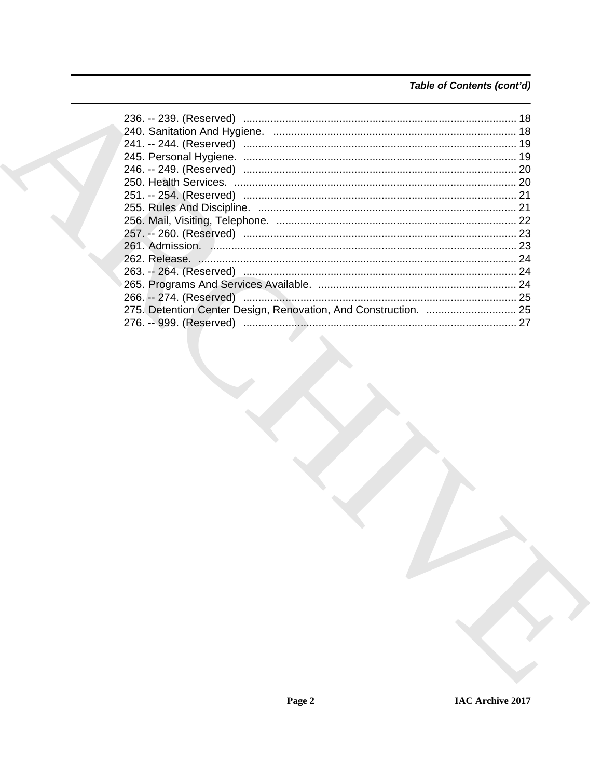### Table of Contents (cont'd)

|  | 24 |
|--|----|
|  |    |
|  |    |
|  |    |
|  |    |
|  |    |
|  |    |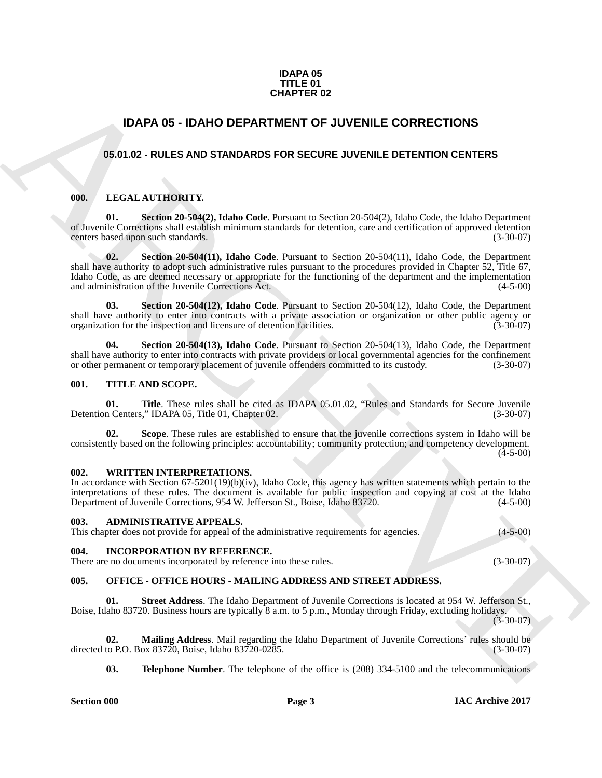#### **IDAPA 05 TITLE 01 CHAPTER 02**

### **IDAPA 05 - IDAHO DEPARTMENT OF JUVENILE CORRECTIONS**

#### <span id="page-2-1"></span><span id="page-2-0"></span>**05.01.02 - RULES AND STANDARDS FOR SECURE JUVENILE DETENTION CENTERS**

#### <span id="page-2-2"></span>**000. LEGAL AUTHORITY.**

**01. Section 20-504(2), Idaho Code**. Pursuant to Section 20-504(2), Idaho Code, the Idaho Department of Juvenile Corrections shall establish minimum standards for detention, care and certification of approved detention centers based upon such standards.

**CHAPTER 02**<br> **CHAPTER DE CORRECTIONS**<br> **CARC ARCHIVENTE CORRECTIONS**<br> **CARC ARCHIVENT OF THE CORRECTIONS**<br> **CARC ARCHIVENT ARCHIVENT OF SECURE JUVENILE DETENTION CENTERS**<br> **CARC ARCHIVENT ARCHIVENT OF SECURE JUVENILE DET 02. Section 20-504(11), Idaho Code**. Pursuant to Section 20-504(11), Idaho Code, the Department shall have authority to adopt such administrative rules pursuant to the procedures provided in Chapter 52, Title 67, Idaho Code, as are deemed necessary or appropriate for the functioning of the department and the implementation and administration of the Juvenile Corrections Act. (4-5-00) and administration of the Juvenile Corrections Act.

**03. Section 20-504(12), Idaho Code**. Pursuant to Section 20-504(12), Idaho Code, the Department shall have authority to enter into contracts with a private association or organization or other public agency or organization for the inspection and licensure of detention facilities. (3-30-07) organization for the inspection and licensure of detention facilities.

**04. Section 20-504(13), Idaho Code**. Pursuant to Section 20-504(13), Idaho Code, the Department shall have authority to enter into contracts with private providers or local governmental agencies for the confinement or other permanent or temporary placement of juvenile offenders committed to its custody. (3-30-07)

#### <span id="page-2-3"></span>**001. TITLE AND SCOPE.**

**01.** Title. These rules shall be cited as IDAPA 05.01.02, "Rules and Standards for Secure Juvenile in Centers," IDAPA 05, Title 01, Chapter 02. (3-30-07) Detention Centers," IDAPA 05, Title 01, Chapter 02.

**Scope**. These rules are established to ensure that the juvenile corrections system in Idaho will be consistently based on the following principles: accountability; community protection; and competency development.  $(4-5-00)$ 

#### <span id="page-2-4"></span>**002. WRITTEN INTERPRETATIONS.**

In accordance with Section 67-5201(19)(b)(iv), Idaho Code, this agency has written statements which pertain to the interpretations of these rules. The document is available for public inspection and copying at cost at the Idaho Department of Juvenile Corrections, 954 W. Jefferson St., Boise, Idaho 83720. (4-5-00)

#### <span id="page-2-5"></span>**003. ADMINISTRATIVE APPEALS.**

This chapter does not provide for appeal of the administrative requirements for agencies. (4-5-00)

#### <span id="page-2-6"></span>**004. INCORPORATION BY REFERENCE.**

There are no documents incorporated by reference into these rules. (3-30-07)

#### <span id="page-2-7"></span>**005. OFFICE - OFFICE HOURS - MAILING ADDRESS AND STREET ADDRESS.**

**01. Street Address**. The Idaho Department of Juvenile Corrections is located at 954 W. Jefferson St., Boise, Idaho 83720. Business hours are typically 8 a.m. to 5 p.m., Monday through Friday, excluding holidays.

 $(3-30-07)$ 

**02. Mailing Address**. Mail regarding the Idaho Department of Juvenile Corrections' rules should be directed to P.O. Box 83720, Boise, Idaho 83720-0285.

**03. Telephone Number**. The telephone of the office is (208) 334-5100 and the telecommunications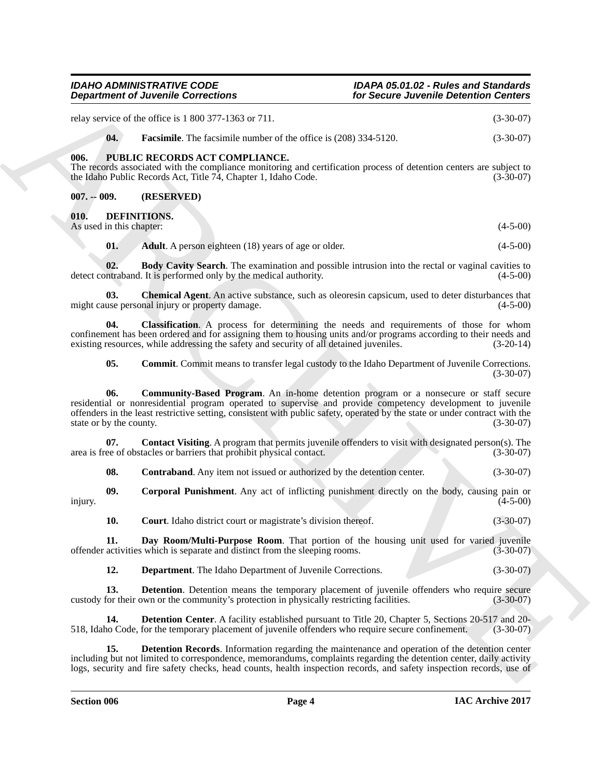<span id="page-3-18"></span><span id="page-3-17"></span><span id="page-3-16"></span><span id="page-3-15"></span><span id="page-3-14"></span><span id="page-3-13"></span><span id="page-3-12"></span><span id="page-3-11"></span><span id="page-3-10"></span><span id="page-3-9"></span><span id="page-3-8"></span><span id="page-3-7"></span><span id="page-3-6"></span><span id="page-3-5"></span><span id="page-3-4"></span><span id="page-3-3"></span><span id="page-3-2"></span><span id="page-3-1"></span><span id="page-3-0"></span>

|                                | <b>Department of Juvenile Corrections</b>                                                                                                                                                                                                                                                                                                            | for Secure Juvenile Detention Centers |                         |  |
|--------------------------------|------------------------------------------------------------------------------------------------------------------------------------------------------------------------------------------------------------------------------------------------------------------------------------------------------------------------------------------------------|---------------------------------------|-------------------------|--|
|                                | relay service of the office is 1 800 377-1363 or 711.                                                                                                                                                                                                                                                                                                |                                       | $(3-30-07)$             |  |
| 04.                            | <b>Facsimile.</b> The facsimile number of the office is (208) 334-5120.                                                                                                                                                                                                                                                                              |                                       | $(3-30-07)$             |  |
| 006.                           | PUBLIC RECORDS ACT COMPLIANCE.<br>The records associated with the compliance monitoring and certification process of detention centers are subject to<br>the Idaho Public Records Act, Title 74, Chapter 1, Idaho Code.                                                                                                                              |                                       | $(3-30-07)$             |  |
| $007. - 009.$                  | (RESERVED)                                                                                                                                                                                                                                                                                                                                           |                                       |                         |  |
| 010.                           | DEFINITIONS.                                                                                                                                                                                                                                                                                                                                         |                                       |                         |  |
| As used in this chapter:       |                                                                                                                                                                                                                                                                                                                                                      |                                       | $(4-5-00)$              |  |
| 01.                            | <b>Adult</b> . A person eighteen (18) years of age or older.                                                                                                                                                                                                                                                                                         |                                       | $(4-5-00)$              |  |
| 02.                            | <b>Body Cavity Search</b> . The examination and possible intrusion into the rectal or vaginal cavities to<br>detect contraband. It is performed only by the medical authority.                                                                                                                                                                       |                                       | $(4-5-00)$              |  |
| 03.                            | <b>Chemical Agent.</b> An active substance, such as oleoresin capsicum, used to deter disturbances that<br>might cause personal injury or property damage.                                                                                                                                                                                           |                                       | $(4-5-00)$              |  |
| 04.                            | Classification. A process for determining the needs and requirements of those for whom<br>confinement has been ordered and for assigning them to housing units and/or programs according to their needs and<br>existing resources, while addressing the safety and security of all detained juveniles.                                               |                                       | $(3-20-14)$             |  |
| 05.                            | <b>Commit.</b> Commit means to transfer legal custody to the Idaho Department of Juvenile Corrections.                                                                                                                                                                                                                                               |                                       | $(3-30-07)$             |  |
| 06.<br>state or by the county. | <b>Community-Based Program</b> . An in-home detention program or a nonsecure or staff secure<br>residential or nonresidential program operated to supervise and provide competency development to juvenile<br>offenders in the least restrictive setting, consistent with public safety, operated by the state or under contract with the            |                                       | $(3-30-07)$             |  |
| 07.                            | Contact Visiting. A program that permits juvenile offenders to visit with designated person(s). The<br>area is free of obstacles or barriers that prohibit physical contact.                                                                                                                                                                         |                                       | $(3-30-07)$             |  |
| 08.                            | Contraband. Any item not issued or authorized by the detention center.                                                                                                                                                                                                                                                                               |                                       | $(3-30-07)$             |  |
| 09.<br>injury.                 | <b>Corporal Punishment</b> . Any act of inflicting punishment directly on the body, causing pain or                                                                                                                                                                                                                                                  |                                       | $(4-5-00)$              |  |
| 10.                            | <b>Court.</b> Idaho district court or magistrate's division thereof.                                                                                                                                                                                                                                                                                 |                                       | $(3-30-07)$             |  |
| 11.                            | Day Room/Multi-Purpose Room. That portion of the housing unit used for varied juvenile<br>offender activities which is separate and distinct from the sleeping rooms.                                                                                                                                                                                |                                       | $(3-30-07)$             |  |
| 12.                            | <b>Department</b> . The Idaho Department of Juvenile Corrections.                                                                                                                                                                                                                                                                                    |                                       | $(3-30-07)$             |  |
| 13.                            | <b>Detention</b> . Detention means the temporary placement of juvenile offenders who require secure<br>custody for their own or the community's protection in physically restricting facilities.                                                                                                                                                     |                                       | $(3-30-07)$             |  |
| 14.                            | <b>Detention Center.</b> A facility established pursuant to Title 20, Chapter 5, Sections 20-517 and 20-<br>518, Idaho Code, for the temporary placement of juvenile offenders who require secure confinement.                                                                                                                                       |                                       | $(3-30-07)$             |  |
| 15.                            | <b>Detention Records.</b> Information regarding the maintenance and operation of the detention center<br>including but not limited to correspondence, memorandums, complaints regarding the detention center, daily activity<br>logs, security and fire safety checks, head counts, health inspection records, and safety inspection records, use of |                                       |                         |  |
|                                |                                                                                                                                                                                                                                                                                                                                                      |                                       | <b>IAC Archive 2017</b> |  |
| <b>Section 006</b>             | Page 4                                                                                                                                                                                                                                                                                                                                               |                                       |                         |  |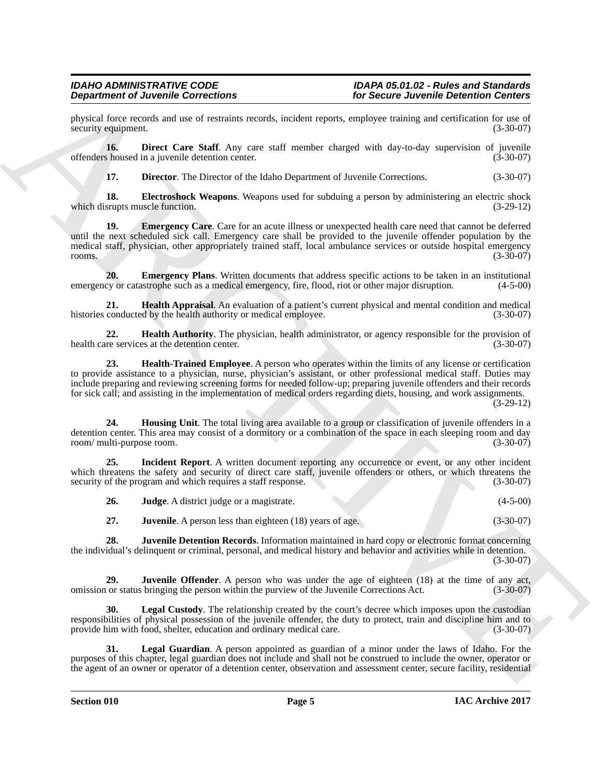## *Department of Juvenile Corrections for Secure Juvenile Detention Centers*

physical force records and use of restraints records, incident reports, employee training and certification for use of security equipment. (3-30-07) security equipment.

**16. Direct Care Staff**. Any care staff member charged with day-to-day supervision of juvenile offenders housed in a juvenile detention center. (3-30-07)

<span id="page-4-3"></span><span id="page-4-2"></span><span id="page-4-1"></span><span id="page-4-0"></span>**17. Director**. The Director of the Idaho Department of Juvenile Corrections. (3-30-07)

**18. Electroshock Weapons**. Weapons used for subduing a person by administering an electric shock srupts muscle function. (3-29-12) which disrupts muscle function.

19. **Emergency Care**. Care for an acute illness or unexpected health care need that cannot be deferred until the next scheduled sick call. Emergency care shall be provided to the juvenile offender population by the medical staff, physician, other appropriately trained staff, local ambulance services or outside hospital emergency rooms. (3-30-07)

<span id="page-4-4"></span>**20. Emergency Plans**. Written documents that address specific actions to be taken in an institutional cy or catastrophe such as a medical emergency, fire, flood, riot or other major disruption. (4-5-00) emergency or catastrophe such as a medical emergency, fire, flood, riot or other major disruption.

<span id="page-4-5"></span>**21. Health Appraisal**. An evaluation of a patient's current physical and mental condition and medical histories conducted by the health authority or medical employee. (3-30-07)

<span id="page-4-7"></span><span id="page-4-6"></span>**22. Health Authority**. The physician, health administrator, or agency responsible for the provision of re services at the detention center. (3-30-07) health care services at the detention center.

**Dependent of Juneaulto Connections**<br>
Specific Science Lorentia Connections<br>
provided accounts the Substitute Accounts and the specific state and accounts the specific Science Lorentia Connections<br>
18. During Connection S **23. Health-Trained Employee**. A person who operates within the limits of any license or certification to provide assistance to a physician, nurse, physician's assistant, or other professional medical staff. Duties may include preparing and reviewing screening forms for needed follow-up; preparing juvenile offenders and their records for sick call; and assisting in the implementation of medical orders regarding diets, housing, and work assignments.

(3-29-12)

<span id="page-4-8"></span>**24. Housing Unit**. The total living area available to a group or classification of juvenile offenders in a detention center. This area may consist of a dormitory or a combination of the space in each sleeping room and day room/ multi-purpose room. (3-30-07)

**25. Incident Report**. A written document reporting any occurrence or event, or any other incident which threatens the safety and security of direct care staff, juvenile offenders or others, or which threatens the security of the program and which requires a staff response. (3-30-07)

<span id="page-4-11"></span><span id="page-4-10"></span><span id="page-4-9"></span>

| 26.       |  | <b>Judge.</b> A district judge or a magistrate. |  |  | $(4-5-00)$ |
|-----------|--|-------------------------------------------------|--|--|------------|
| $\bullet$ |  |                                                 |  |  | (0.0000)   |

<span id="page-4-13"></span><span id="page-4-12"></span>**27. Juvenile**. A person less than eighteen (18) years of age. (3-30-07)

**28. Juvenile Detention Records**. Information maintained in hard copy or electronic format concerning the individual's delinquent or criminal, personal, and medical history and behavior and activities while in detention.  $(3-30-07)$ 

**29. Juvenile Offender**. A person who was under the age of eighteen (18) at the time of any act, omission or status bringing the person within the purview of the Juvenile Corrections Act. (3-30-07)

<span id="page-4-14"></span>**30.** Legal Custody. The relationship created by the court's decree which imposes upon the custodian responsibilities of physical possession of the juvenile offender, the duty to protect, train and discipline him and to provide him with food, shelter, education and ordinary medical care. (3-30-07)

<span id="page-4-15"></span>**31. Legal Guardian**. A person appointed as guardian of a minor under the laws of Idaho. For the purposes of this chapter, legal guardian does not include and shall not be construed to include the owner, operator or the agent of an owner or operator of a detention center, observation and assessment center, secure facility, residential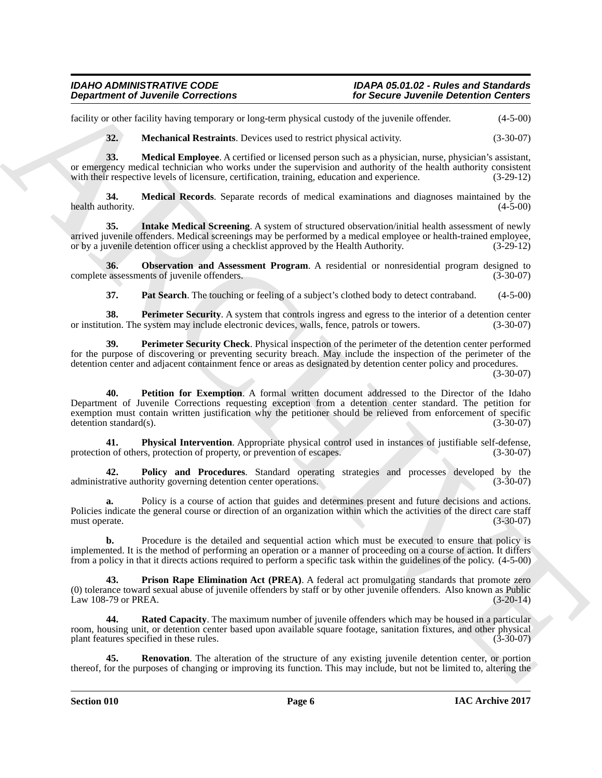### *Department of Juvenile Corrections for Secure Juvenile Detention Centers*

## *IDAHO ADMINISTRATIVE CODE IDAPA 05.01.02 - Rules and Standards*

facility or other facility having temporary or long-term physical custody of the juvenile offender. (4-5-00)

<span id="page-5-3"></span><span id="page-5-2"></span><span id="page-5-1"></span>**32. Mechanical Restraints**. Devices used to restrict physical activity. (3-30-07)

**33. Medical Employee**. A certified or licensed person such as a physician, nurse, physician's assistant, or emergency medical technician who works under the supervision and authority of the health authority consistent with their respective levels of licensure, certification, training, education and experience. (3-29-12) with their respective levels of licensure, certification, training, education and experience.

**34. Medical Records**. Separate records of medical examinations and diagnoses maintained by the health authority. (4-5-00)

<span id="page-5-0"></span>**35. Intake Medical Screening**. A system of structured observation/initial health assessment of newly arrived juvenile offenders. Medical screenings may be performed by a medical employee or health-trained employee, or by a juvenile detention officer using a checklist approved by the Health Authority. (3-29-12)

**36. Observation and Assessment Program**. A residential or nonresidential program designed to assessments of juvenile offenders. (3-30-07) complete assessments of juvenile offenders.

<span id="page-5-7"></span><span id="page-5-6"></span><span id="page-5-5"></span><span id="page-5-4"></span>**37. Pat Search**. The touching or feeling of a subject's clothed body to detect contraband. (4-5-00)

**38. Perimeter Security**. A system that controls ingress and egress to the interior of a detention center tion. The system may include electronic devices, walls, fence, patrols or towers. (3-30-07) or institution. The system may include electronic devices, walls, fence, patrols or towers.

<span id="page-5-8"></span>**39. Perimeter Security Check**. Physical inspection of the perimeter of the detention center performed for the purpose of discovering or preventing security breach. May include the inspection of the perimeter of the detention center and adjacent containment fence or areas as designated by detention center policy and procedures.

(3-30-07)

**Department of Juvenile Connections**<br>
Lecture and lectures are the state of the state of the state of the state of the state of the state of the state of the state of the state of the state of the state of the state of th **40. Petition for Exemption**. A formal written document addressed to the Director of the Idaho Department of Juvenile Corrections requesting exception from a detention center standard. The petition for exemption must contain written justification why the petitioner should be relieved from enforcement of specific detention standard(s). (3-30-07)

<span id="page-5-9"></span>**41. Physical Intervention**. Appropriate physical control used in instances of justifiable self-defense, n of others, protection of property, or prevention of escapes. (3-30-07) protection of others, protection of property, or prevention of escapes.

<span id="page-5-10"></span>**42. Policy and Procedures**. Standard operating strategies and processes developed by the administrative authority governing detention center operations.

**a.** Policy is a course of action that guides and determines present and future decisions and actions. Policies indicate the general course or direction of an organization within which the activities of the direct care staff must operate. (3-30-07)

**b.** Procedure is the detailed and sequential action which must be executed to ensure that policy is implemented. It is the method of performing an operation or a manner of proceeding on a course of action. It differs from a policy in that it directs actions required to perform a specific task within the guidelines of the policy. (4-5-00)

<span id="page-5-11"></span>**Prison Rape Elimination Act (PREA).** A federal act promulgating standards that promote zero (0) tolerance toward sexual abuse of juvenile offenders by staff or by other juvenile offenders. Also known as Public  $Law$  108-79 or PREA.

<span id="page-5-12"></span>**Rated Capacity**. The maximum number of juvenile offenders which may be housed in a particular room, housing unit, or detention center based upon available square footage, sanitation fixtures, and other physical plant features specified in these rules. (3-30-07) plant features specified in these rules.

<span id="page-5-13"></span>**Renovation**. The alteration of the structure of any existing juvenile detention center, or portion thereof, for the purposes of changing or improving its function. This may include, but not be limited to, altering the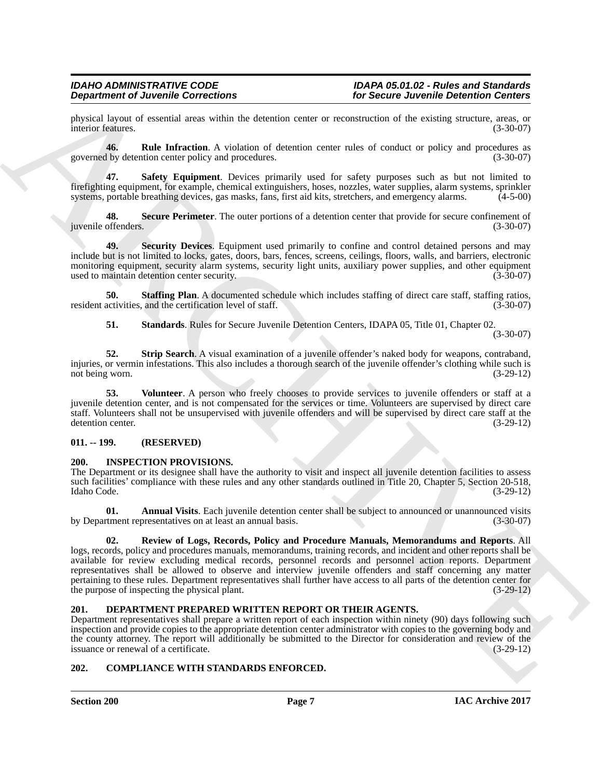physical layout of essential areas within the detention center or reconstruction of the existing structure, areas, or interior features. (3-30-07) interior features.

<span id="page-6-4"></span>**46. Rule Infraction**. A violation of detention center rules of conduct or policy and procedures as governed by detention center policy and procedures. (3-30-07)

<span id="page-6-5"></span>**47. Safety Equipment**. Devices primarily used for safety purposes such as but not limited to firefighting equipment, for example, chemical extinguishers, hoses, nozzles, water supplies, alarm systems, sprinkler systems, portable breathing devices, gas masks, fans, first aid kits, stretchers, and emergency alarms. (4-5-00)

<span id="page-6-6"></span>**48.** Secure Perimeter. The outer portions of a detention center that provide for secure confinement of offenders. (3-30-07) juvenile offenders.

<span id="page-6-7"></span>**49. Security Devices**. Equipment used primarily to confine and control detained persons and may include but is not limited to locks, gates, doors, bars, fences, screens, ceilings, floors, walls, and barriers, electronic monitoring equipment, security alarm systems, security light units, auxiliary power supplies, and other equipment used to maintain detention center security. (3-30-07) used to maintain detention center security.

**50. Staffing Plan**. A documented schedule which includes staffing of direct care staff, staffing ratios, activities, and the certification level of staff. resident activities, and the certification level of staff.

<span id="page-6-11"></span><span id="page-6-10"></span><span id="page-6-9"></span><span id="page-6-8"></span>**51. Standards**. Rules for Secure Juvenile Detention Centers, IDAPA 05, Title 01, Chapter 02. (3-30-07)

**52. Strip Search**. A visual examination of a juvenile offender's naked body for weapons, contraband, injuries, or vermin infestations. This also includes a thorough search of the juvenile offender's clothing while such is not being worn. (3-29-12) not being worn.

**53. Volunteer**. A person who freely chooses to provide services to juvenile offenders or staff at a juvenile detention center, and is not compensated for the services or time. Volunteers are supervised by direct care staff. Volunteers shall not be unsupervised with juvenile offenders and will be supervised by direct care staff at the detention center. (3-29-12)

#### <span id="page-6-0"></span>**011. -- 199. (RESERVED)**

#### <span id="page-6-13"></span><span id="page-6-1"></span>**200. INSPECTION PROVISIONS.**

The Department or its designee shall have the authority to visit and inspect all juvenile detention facilities to assess such facilities' compliance with these rules and any other standards outlined in Title 20, Chapter 5, Section 20-518,<br>(3-29-12) (3-29-12) Idaho Code. (3-29-12)

**01.** Annual Visits. Each juvenile detention center shall be subject to announced or unannounced visits then trepresentatives on at least an annual basis. (3-30-07) by Department representatives on at least an annual basis.

#### <span id="page-6-15"></span><span id="page-6-14"></span>**02. Review of Logs, Records, Policy and Procedure Manuals, Memorandums and Reports**. All

**Dependent of Juvenile Connections**<br>
Specifical case where the interaction of the state of the state of the state of the state state state and the state of the state state state and the state state of the state state of t logs, records, policy and procedures manuals, memorandums, training records, and incident and other reports shall be available for review excluding medical records, personnel records and personnel action reports. Department representatives shall be allowed to observe and interview juvenile offenders and staff concerning any matter pertaining to these rules. Department representatives shall further have access to all parts of the detention center for the purpose of inspecting the physical plant. (3-29-12)

#### <span id="page-6-12"></span><span id="page-6-2"></span>**201. DEPARTMENT PREPARED WRITTEN REPORT OR THEIR AGENTS.**

Department representatives shall prepare a written report of each inspection within ninety (90) days following such inspection and provide copies to the appropriate detention center administrator with copies to the governing body and the county attorney. The report will additionally be submitted to the Director for consideration and review of the issuance or renewal of a certificate. (3-29-12) issuance or renewal of a certificate.

#### <span id="page-6-3"></span>**202. COMPLIANCE WITH STANDARDS ENFORCED.**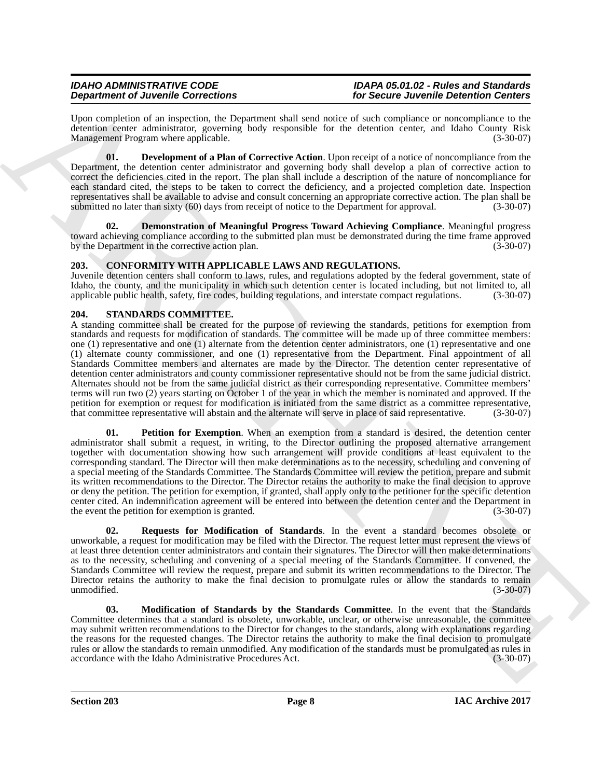## *IDAHO ADMINISTRATIVE CODE IDAPA 05.01.02 - Rules and Standards*

Upon completion of an inspection, the Department shall send notice of such compliance or noncompliance to the detention center administrator, governing body responsible for the detention center, and Idaho County Risk<br>Management Program where applicable. (3-30-07) Management Program where applicable.

<span id="page-7-3"></span>**01. Development of a Plan of Corrective Action**. Upon receipt of a notice of noncompliance from the Department, the detention center administrator and governing body shall develop a plan of corrective action to correct the deficiencies cited in the report. The plan shall include a description of the nature of noncompliance for each standard cited, the steps to be taken to correct the deficiency, and a projected completion date. Inspection representatives shall be available to advise and consult concerning an appropriate corrective action. The plan shall be submitted no later than sixty (60) days from receipt of notice to the Department for approval. (3-30-07)

<span id="page-7-2"></span>**02. Demonstration of Meaningful Progress Toward Achieving Compliance**. Meaningful progress toward achieving compliance according to the submitted plan must be demonstrated during the time frame approved by the Department in the corrective action plan. (3-30-07)

#### <span id="page-7-4"></span><span id="page-7-0"></span>**203. CONFORMITY WITH APPLICABLE LAWS AND REGULATIONS.**

Juvenile detention centers shall conform to laws, rules, and regulations adopted by the federal government, state of Idaho, the county, and the municipality in which such detention center is located including, but not limited to, all applicable public health, safety, fire codes, building regulations, and interstate compact regulations. (3-30-07)

#### <span id="page-7-1"></span>**204. STANDARDS COMMITTEE.**

**Dependent of June 200**<br>
Cymeropologia (a metallic of Cymeropologia) and the species of the species of the species of the species of the species of the species of the species of the species of the species of the species o A standing committee shall be created for the purpose of reviewing the standards, petitions for exemption from standards and requests for modification of standards. The committee will be made up of three committee members: one (1) representative and one (1) alternate from the detention center administrators, one (1) representative and one (1) alternate county commissioner, and one (1) representative from the Department. Final appointment of all Standards Committee members and alternates are made by the Director. The detention center representative of detention center administrators and county commissioner representative should not be from the same judicial district. Alternates should not be from the same judicial district as their corresponding representative. Committee members' terms will run two (2) years starting on October 1 of the year in which the member is nominated and approved. If the petition for exemption or request for modification is initiated from the same district as a committee representative,<br>that committee representative will abstain and the alternate will serve in place of said representative. that committee representative will abstain and the alternate will serve in place of said representative.

<span id="page-7-6"></span>**Petition for Exemption**. When an exemption from a standard is desired, the detention center administrator shall submit a request, in writing, to the Director outlining the proposed alternative arrangement together with documentation showing how such arrangement will provide conditions at least equivalent to the corresponding standard. The Director will then make determinations as to the necessity, scheduling and convening of a special meeting of the Standards Committee. The Standards Committee will review the petition, prepare and submit its written recommendations to the Director. The Director retains the authority to make the final decision to approve or deny the petition. The petition for exemption, if granted, shall apply only to the petitioner for the specific detention center cited. An indemnification agreement will be entered into between the detention center and the Department in the event the petition for exemption is granted. (3-30-07)

<span id="page-7-7"></span>**02. Requests for Modification of Standards**. In the event a standard becomes obsolete or unworkable, a request for modification may be filed with the Director. The request letter must represent the views of at least three detention center administrators and contain their signatures. The Director will then make determinations as to the necessity, scheduling and convening of a special meeting of the Standards Committee. If convened, the Standards Committee will review the request, prepare and submit its written recommendations to the Director. The Director retains the authority to make the final decision to promulgate rules or allow the standards to remain unmodified.  $(3-30-07)$ 

<span id="page-7-5"></span>**03. Modification of Standards by the Standards Committee**. In the event that the Standards Committee determines that a standard is obsolete, unworkable, unclear, or otherwise unreasonable, the committee may submit written recommendations to the Director for changes to the standards, along with explanations regarding the reasons for the requested changes. The Director retains the authority to make the final decision to promulgate rules or allow the standards to remain unmodified. Any modification of the standards must be promulgated as rules in accordance with the Idaho Administrative Procedures Act. (3-30-07) accordance with the Idaho Administrative Procedures Act.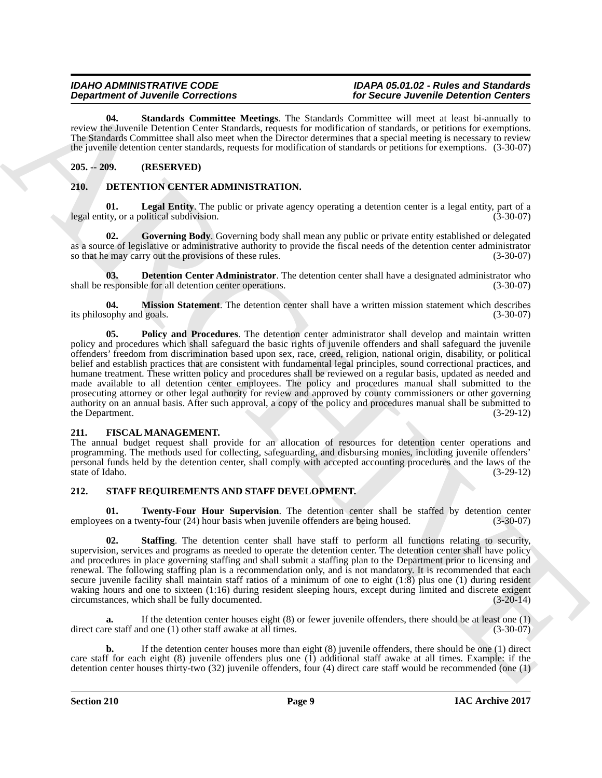#### *IDAHO ADMINISTRATIVE CODE IDAPA 05.01.02 - Rules and Standards Department of Juvenile Corrections for Secure Juvenile Detention Centers*

<span id="page-8-14"></span>**04. Standards Committee Meetings**. The Standards Committee will meet at least bi-annually to review the Juvenile Detention Center Standards, requests for modification of standards, or petitions for exemptions. The Standards Committee shall also meet when the Director determines that a special meeting is necessary to review the juvenile detention center standards, requests for modification of standards or petitions for exemptions. (3-30-07)

#### <span id="page-8-0"></span>**205. -- 209. (RESERVED)**

#### <span id="page-8-4"></span><span id="page-8-1"></span>**210. DETENTION CENTER ADMINISTRATION.**

<span id="page-8-7"></span>**01.** Legal Entity. The public or private agency operating a detention center is a legal entity, part of a ity, or a political subdivision. (3-30-07) legal entity, or a political subdivision.

<span id="page-8-6"></span>**02. Governing Body**. Governing body shall mean any public or private entity established or delegated as a source of legislative or administrative authority to provide the fiscal needs of the detention center administrator so that he may carry out the provisions of these rules. (3-30-07)

<span id="page-8-5"></span>**03. Detention Center Administrator**. The detention center shall have a designated administrator who esponsible for all detention center operations. (3-30-07) shall be responsible for all detention center operations.

<span id="page-8-9"></span><span id="page-8-8"></span>**04. Mission Statement**. The detention center shall have a written mission statement which describes ophy and goals. (3-30-07) its philosophy and goals.

**Department of Juneal Connections**. The Sambary Counties the matrix the same developed to the same developed to the same of the same of the same of the same of the same of the same of the same of the same of the same of t **05. Policy and Procedures**. The detention center administrator shall develop and maintain written policy and procedures which shall safeguard the basic rights of juvenile offenders and shall safeguard the juvenile offenders' freedom from discrimination based upon sex, race, creed, religion, national origin, disability, or political belief and establish practices that are consistent with fundamental legal principles, sound correctional practices, and humane treatment. These written policy and procedures shall be reviewed on a regular basis, updated as needed and made available to all detention center employees. The policy and procedures manual shall submitted to the prosecuting attorney or other legal authority for review and approved by county commissioners or other governing authority on an annual basis. After such approval, a copy of the policy and procedures manual shall be submitted to the Department. (3-29-12)

#### <span id="page-8-10"></span><span id="page-8-2"></span>**211. FISCAL MANAGEMENT.**

The annual budget request shall provide for an allocation of resources for detention center operations and programming. The methods used for collecting, safeguarding, and disbursing monies, including juvenile offenders' personal funds held by the detention center, shall comply with accepted accounting procedures and the laws of the state of Idaho. (3-29-12)

#### <span id="page-8-11"></span><span id="page-8-3"></span>**212. STAFF REQUIREMENTS AND STAFF DEVELOPMENT.**

<span id="page-8-13"></span>**01. Twenty-Four Hour Supervision**. The detention center shall be staffed by detention center es on a twenty-four (24) hour basis when juvenile offenders are being housed. (3-30-07) employees on a twenty-four  $(24)$  hour basis when juvenile offenders are being housed.

<span id="page-8-12"></span>**02. Staffing**. The detention center shall have staff to perform all functions relating to security, supervision, services and programs as needed to operate the detention center. The detention center shall have policy and procedures in place governing staffing and shall submit a staffing plan to the Department prior to licensing and renewal. The following staffing plan is a recommendation only, and is not mandatory. It is recommended that each secure juvenile facility shall maintain staff ratios of a minimum of one to eight (1:8) plus one (1) during resident waking hours and one to sixteen (1:16) during resident sleeping hours, except during limited and discrete exigent circumstances, which shall be fully documented. (3-20-14) circumstances, which shall be fully documented.

**a.** If the detention center houses eight (8) or fewer juvenile offenders, there should be at least one (1) direct care staff and one (1) other staff awake at all times. (3-30-07)

**b.** If the detention center houses more than eight (8) juvenile offenders, there should be one (1) direct care staff for each eight  $(8)$  juvenile offenders plus one  $(1)$  additional staff awake at all times. Example: if the detention center houses thirty-two (32) juvenile offenders, four (4) direct care staff would be recommended (one (1)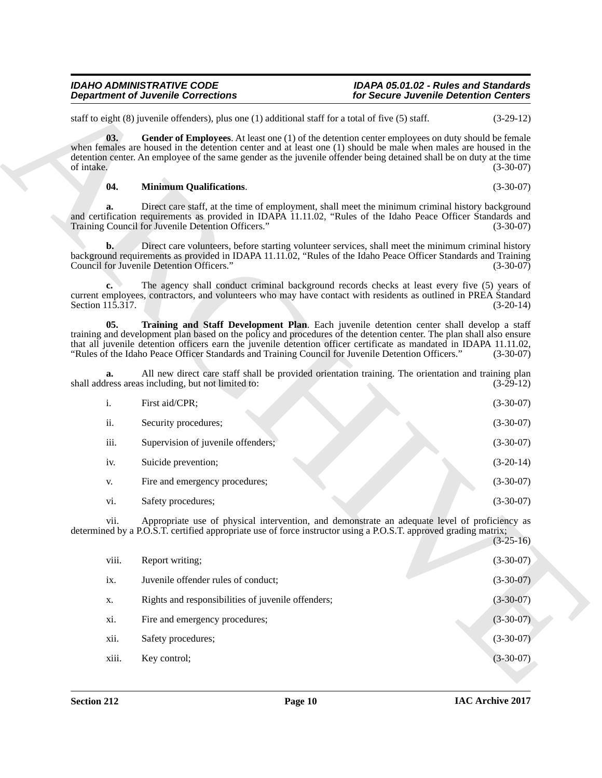#### <span id="page-9-2"></span><span id="page-9-1"></span><span id="page-9-0"></span>**04. Minimum Qualifications**. (3-30-07)

| <b>Department of Juvenile Corrections</b> |                                                                                                                                                                                                                                                                                                                                                                                                                                                | for Secure Juvenile Detention Centers |             |
|-------------------------------------------|------------------------------------------------------------------------------------------------------------------------------------------------------------------------------------------------------------------------------------------------------------------------------------------------------------------------------------------------------------------------------------------------------------------------------------------------|---------------------------------------|-------------|
|                                           | staff to eight $(8)$ juvenile offenders), plus one $(1)$ additional staff for a total of five $(5)$ staff.                                                                                                                                                                                                                                                                                                                                     |                                       | $(3-29-12)$ |
| 03.<br>of intake.                         | Gender of Employees. At least one (1) of the detention center employees on duty should be female<br>when females are housed in the detention center and at least one $(1)$ should be male when males are housed in the<br>detention center. An employee of the same gender as the juvenile offender being detained shall be on duty at the time                                                                                                |                                       | $(3-30-07)$ |
| 04.                                       | <b>Minimum Qualifications.</b>                                                                                                                                                                                                                                                                                                                                                                                                                 |                                       | $(3-30-07)$ |
| a.                                        | Direct care staff, at the time of employment, shall meet the minimum criminal history background<br>and certification requirements as provided in IDAPA 11.11.02, "Rules of the Idaho Peace Officer Standards and<br>Training Council for Juvenile Detention Officers."                                                                                                                                                                        |                                       | $(3-30-07)$ |
| $\mathbf{b}$ .                            | Direct care volunteers, before starting volunteer services, shall meet the minimum criminal history<br>background requirements as provided in IDAPA 11.11.02, "Rules of the Idaho Peace Officer Standards and Training<br>Council for Juvenile Detention Officers."                                                                                                                                                                            |                                       | $(3-30-07)$ |
| c.<br>Section 115.317.                    | The agency shall conduct criminal background records checks at least every five (5) years of<br>current employees, contractors, and volunteers who may have contact with residents as outlined in PREA Standard                                                                                                                                                                                                                                |                                       | $(3-20-14)$ |
| 05.                                       | Training and Staff Development Plan. Each juvenile detention center shall develop a staff<br>training and development plan based on the policy and procedures of the detention center. The plan shall also ensure<br>that all juvenile detention officers earn the juvenile detention officer certificate as mandated in IDAPA 11.11.02,<br>"Rules of the Idaho Peace Officer Standards and Training Council for Juvenile Detention Officers." |                                       | $(3-30-07)$ |
| a.                                        | All new direct care staff shall be provided orientation training. The orientation and training plan<br>shall address areas including, but not limited to:                                                                                                                                                                                                                                                                                      |                                       | $(3-29-12)$ |
| i.                                        | First aid/CPR;                                                                                                                                                                                                                                                                                                                                                                                                                                 |                                       | $(3-30-07)$ |
| ii.                                       | Security procedures;                                                                                                                                                                                                                                                                                                                                                                                                                           |                                       | $(3-30-07)$ |
| iii.                                      | Supervision of juvenile offenders;                                                                                                                                                                                                                                                                                                                                                                                                             |                                       | $(3-30-07)$ |
| iv.                                       | Suicide prevention;                                                                                                                                                                                                                                                                                                                                                                                                                            |                                       | $(3-20-14)$ |
| V.                                        | Fire and emergency procedures;                                                                                                                                                                                                                                                                                                                                                                                                                 |                                       | $(3-30-07)$ |
| vi.                                       | Safety procedures;                                                                                                                                                                                                                                                                                                                                                                                                                             |                                       | $(3-30-07)$ |
| V11.                                      | Appropriate use of physical intervention, and demonstrate an adequate level of proficiency as<br>determined by a P.O.S.T. certified appropriate use of force instructor using a P.O.S.T. approved grading matrix;                                                                                                                                                                                                                              |                                       | $(3-25-16)$ |
| viii.                                     | Report writing;                                                                                                                                                                                                                                                                                                                                                                                                                                |                                       | $(3-30-07)$ |
| ix.                                       | Juvenile offender rules of conduct;                                                                                                                                                                                                                                                                                                                                                                                                            |                                       | $(3-30-07)$ |
| X.                                        | Rights and responsibilities of juvenile offenders;                                                                                                                                                                                                                                                                                                                                                                                             |                                       | $(3-30-07)$ |
| xi.                                       | Fire and emergency procedures;                                                                                                                                                                                                                                                                                                                                                                                                                 |                                       | $(3-30-07)$ |
| xii.                                      | Safety procedures;                                                                                                                                                                                                                                                                                                                                                                                                                             |                                       | $(3-30-07)$ |
|                                           | Key control;                                                                                                                                                                                                                                                                                                                                                                                                                                   |                                       | $(3-30-07)$ |

| viii. | Report writing;                                    | $(3-30-07)$ |
|-------|----------------------------------------------------|-------------|
| ix.   | Juvenile offender rules of conduct;                | $(3-30-07)$ |
| X.    | Rights and responsibilities of juvenile offenders; | $(3-30-07)$ |
| xi.   | Fire and emergency procedures;                     | $(3-30-07)$ |
| xii.  | Safety procedures;                                 | $(3-30-07)$ |
| xiii. | Key control;                                       | $(3-30-07)$ |
|       |                                                    |             |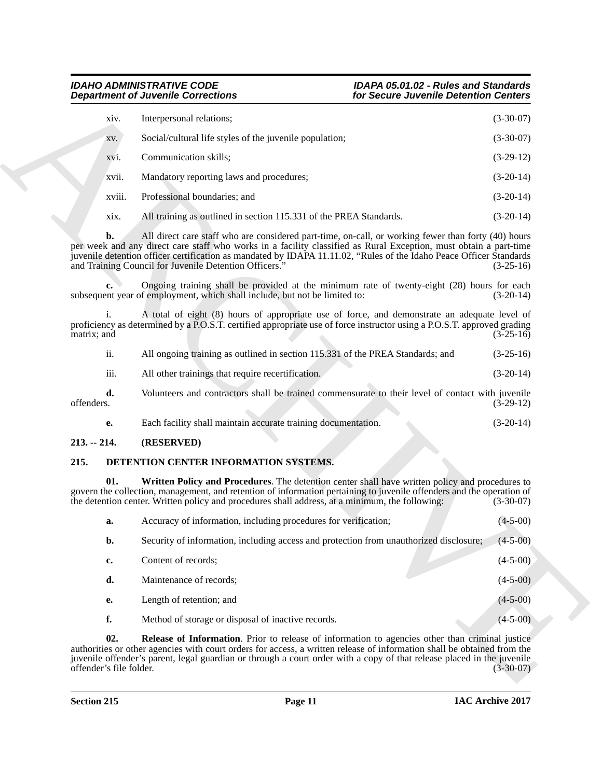| xiv.   | Interpersonal relations;                                           | $(3-30-07)$ |
|--------|--------------------------------------------------------------------|-------------|
| XV.    | Social/cultural life styles of the juvenile population;            | $(3-30-07)$ |
| xvi.   | Communication skills:                                              | $(3-29-12)$ |
| xvii.  | Mandatory reporting laws and procedures;                           | $(3-20-14)$ |
| xviii. | Professional boundaries; and                                       | $(3-20-14)$ |
| XIX.   | All training as outlined in section 115.331 of the PREA Standards. | $(3-20-14)$ |

| ii.        | All ongoing training as outlined in section 115.331 of the PREA Standards; and                   | $(3-25-16)$ |
|------------|--------------------------------------------------------------------------------------------------|-------------|
| iii.       | All other trainings that require recertification.                                                | $(3-20-14)$ |
| d.<br>ers. | Volunteers and contractors shall be trained commensurate to their level of contact with juvenile | $(3-29-12)$ |

<span id="page-10-4"></span><span id="page-10-2"></span>

| Each facility shall maintain accurate training documentation. |  | $(3-20-14)$ |
|---------------------------------------------------------------|--|-------------|
|                                                               |  |             |

#### <span id="page-10-0"></span>**213. -- 214. (RESERVED)**

#### <span id="page-10-3"></span><span id="page-10-1"></span>**215. DETENTION CENTER INFORMATION SYSTEMS.**

|                               | <b>Department of Juvenile Corrections</b>                                                                                                                                                                                                                                                                                                                                                                 | for Secure Juvenile Detention Centers |                                                                                                                        |
|-------------------------------|-----------------------------------------------------------------------------------------------------------------------------------------------------------------------------------------------------------------------------------------------------------------------------------------------------------------------------------------------------------------------------------------------------------|---------------------------------------|------------------------------------------------------------------------------------------------------------------------|
| xiv.                          | Interpersonal relations;                                                                                                                                                                                                                                                                                                                                                                                  |                                       | $(3-30-07)$                                                                                                            |
| XV.                           | Social/cultural life styles of the juvenile population;                                                                                                                                                                                                                                                                                                                                                   |                                       | $(3-30-07)$                                                                                                            |
| XV1.                          | Communication skills;                                                                                                                                                                                                                                                                                                                                                                                     |                                       | $(3-29-12)$                                                                                                            |
| xvii.                         | Mandatory reporting laws and procedures;                                                                                                                                                                                                                                                                                                                                                                  |                                       | $(3-20-14)$                                                                                                            |
| xviii.                        | Professional boundaries; and                                                                                                                                                                                                                                                                                                                                                                              |                                       | $(3-20-14)$                                                                                                            |
| xix.                          | All training as outlined in section 115.331 of the PREA Standards.                                                                                                                                                                                                                                                                                                                                        |                                       | $(3-20-14)$                                                                                                            |
| $\mathbf{b}$ .                | All direct care staff who are considered part-time, on-call, or working fewer than forty (40) hours<br>per week and any direct care staff who works in a facility classified as Rural Exception, must obtain a part-time<br>juvenile detention officer certification as mandated by IDAPA 11.11.02, "Rules of the Idaho Peace Officer Standards<br>and Training Council for Juvenile Detention Officers." |                                       | $(3-25-16)$                                                                                                            |
| c.                            | Ongoing training shall be provided at the minimum rate of twenty-eight (28) hours for each<br>subsequent year of employment, which shall include, but not be limited to:                                                                                                                                                                                                                                  |                                       | $(3-20-14)$                                                                                                            |
| $\mathbf{1}$ .<br>matrix; and | A total of eight (8) hours of appropriate use of force, and demonstrate an adequate level of<br>proficiency as determined by a P.O.S.T. certified appropriate use of force instructor using a P.O.S.T. approved grading                                                                                                                                                                                   |                                       | $(3-25-16)$                                                                                                            |
| ii.                           | All ongoing training as outlined in section 115.331 of the PREA Standards; and                                                                                                                                                                                                                                                                                                                            |                                       | $(3-25-16)$                                                                                                            |
| iii.                          | All other trainings that require recertification.                                                                                                                                                                                                                                                                                                                                                         |                                       | $(3-20-14)$                                                                                                            |
| d.<br>offenders.              | Volunteers and contractors shall be trained commensurate to their level of contact with juvenile                                                                                                                                                                                                                                                                                                          |                                       | $(3-29-12)$                                                                                                            |
| е.                            | Each facility shall maintain accurate training documentation.                                                                                                                                                                                                                                                                                                                                             |                                       | $(3-20-14)$                                                                                                            |
| $213. - 214.$                 | (RESERVED)                                                                                                                                                                                                                                                                                                                                                                                                |                                       |                                                                                                                        |
| 215.                          | DETENTION CENTER INFORMATION SYSTEMS.                                                                                                                                                                                                                                                                                                                                                                     |                                       |                                                                                                                        |
| 01.                           | Written Policy and Procedures. The detention center shall have written policy and procedures to<br>govern the collection, management, and retention of information pertaining to juvenile offenders and the operation of<br>the detention center. Written policy and procedures shall address, at a minimum, the following:                                                                               |                                       | $(3-30-07)$                                                                                                            |
| a.                            | Accuracy of information, including procedures for verification;                                                                                                                                                                                                                                                                                                                                           |                                       | $(4 - 5 - 00)$                                                                                                         |
| b.                            | Security of information, including access and protection from unauthorized disclosure;                                                                                                                                                                                                                                                                                                                    |                                       | $(4 - 5 - 00)$                                                                                                         |
| c.                            | Content of records;                                                                                                                                                                                                                                                                                                                                                                                       |                                       | $(4-5-00)$                                                                                                             |
| d.                            | Maintenance of records;                                                                                                                                                                                                                                                                                                                                                                                   |                                       | $(4-5-00)$                                                                                                             |
| е.                            | Length of retention; and                                                                                                                                                                                                                                                                                                                                                                                  |                                       | $(4-5-00)$                                                                                                             |
| f.                            | Method of storage or disposal of inactive records.                                                                                                                                                                                                                                                                                                                                                        |                                       | $(4-5-00)$                                                                                                             |
| 02.                           | Release of Information. Prior to release of information to agencies other than criminal justice<br>authorities or other agencies with court orders for access, a written release of information shall be obtained from the                                                                                                                                                                                |                                       | juvenile offender's parent, legal guardian or through a court order with a copy of that release placed in the juvenile |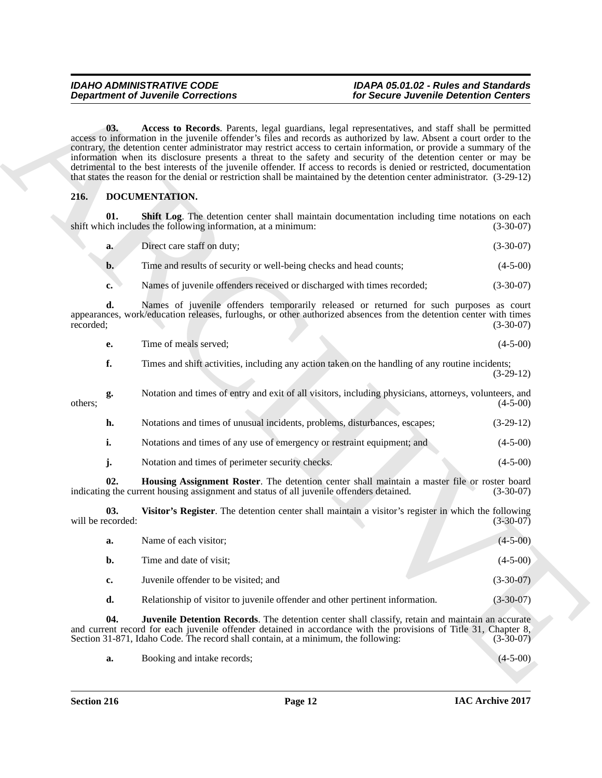### *Department of Juvenile Corrections for Secure Juvenile Detention Centers*

### <span id="page-11-1"></span>*IDAHO ADMINISTRATIVE CODE IDAPA 05.01.02 - Rules and Standards*

#### <span id="page-11-2"></span><span id="page-11-0"></span>**216. DOCUMENTATION.**

<span id="page-11-5"></span>

| a. | Direct care staff on duty; | $(3-30-07)$ |
|----|----------------------------|-------------|
|----|----------------------------|-------------|

- **b.** Time and results of security or well-being checks and head counts; (4-5-00)
- **c.** Names of juvenile offenders received or discharged with times recorded;  $(3-30-07)$

| Time of meals served: | $(4-5-00)$                                                                                                      |
|-----------------------|-----------------------------------------------------------------------------------------------------------------|
|                       | Times and shift activities, including any action taken on the handling of any routine incidents;<br>$(3-29-12)$ |

- **h.** Notations and times of unusual incidents, problems, disturbances, escapes; (3-29-12) **i.** Notations and times of any use of emergency or restraint equipment; and (4-5-00)
- 
- <span id="page-11-6"></span><span id="page-11-4"></span><span id="page-11-3"></span>**j.** Notation and times of perimeter security checks. (4-5-00)

|                          | <b>Department of Juvenile Corrections</b>                                                                                                                                                                                                                                                                                                                                                                                                                                                                                                                                                                                                                                                                                  | for Secure Juvenile Detention Centers |
|--------------------------|----------------------------------------------------------------------------------------------------------------------------------------------------------------------------------------------------------------------------------------------------------------------------------------------------------------------------------------------------------------------------------------------------------------------------------------------------------------------------------------------------------------------------------------------------------------------------------------------------------------------------------------------------------------------------------------------------------------------------|---------------------------------------|
| 03.                      | Access to Records. Parents, legal guardians, legal representatives, and staff shall be permitted<br>access to information in the juvenile offender's files and records as authorized by law. Absent a court order to the<br>contrary, the detention center administrator may restrict access to certain information, or provide a summary of the<br>information when its disclosure presents a threat to the safety and security of the detention center or may be<br>detrimental to the best interests of the juvenile offender. If access to records is denied or restricted, documentation<br>that states the reason for the denial or restriction shall be maintained by the detention center administrator. (3-29-12) |                                       |
| 216.                     | DOCUMENTATION.                                                                                                                                                                                                                                                                                                                                                                                                                                                                                                                                                                                                                                                                                                             |                                       |
| 01.                      | <b>Shift Log.</b> The detention center shall maintain documentation including time notations on each<br>shift which includes the following information, at a minimum:                                                                                                                                                                                                                                                                                                                                                                                                                                                                                                                                                      | $(3-30-07)$                           |
| a.                       | Direct care staff on duty;                                                                                                                                                                                                                                                                                                                                                                                                                                                                                                                                                                                                                                                                                                 | $(3-30-07)$                           |
| $\mathbf{b}$ .           | Time and results of security or well-being checks and head counts;                                                                                                                                                                                                                                                                                                                                                                                                                                                                                                                                                                                                                                                         | $(4-5-00)$                            |
| c.                       | Names of juvenile offenders received or discharged with times recorded;                                                                                                                                                                                                                                                                                                                                                                                                                                                                                                                                                                                                                                                    | $(3-30-07)$                           |
| d.<br>recorded;          | Names of juvenile offenders temporarily released or returned for such purposes as court<br>appearances, work/education releases, furloughs, or other authorized absences from the detention center with times                                                                                                                                                                                                                                                                                                                                                                                                                                                                                                              | $(3-30-07)$                           |
| е.                       | Time of meals served;                                                                                                                                                                                                                                                                                                                                                                                                                                                                                                                                                                                                                                                                                                      | $(4-5-00)$                            |
| f.                       | Times and shift activities, including any action taken on the handling of any routine incidents;                                                                                                                                                                                                                                                                                                                                                                                                                                                                                                                                                                                                                           | $(3-29-12)$                           |
| g.<br>others;            | Notation and times of entry and exit of all visitors, including physicians, attorneys, volunteers, and                                                                                                                                                                                                                                                                                                                                                                                                                                                                                                                                                                                                                     | $(4-5-00)$                            |
| h.                       | Notations and times of unusual incidents, problems, disturbances, escapes;                                                                                                                                                                                                                                                                                                                                                                                                                                                                                                                                                                                                                                                 | $(3-29-12)$                           |
| i.                       | Notations and times of any use of emergency or restraint equipment; and                                                                                                                                                                                                                                                                                                                                                                                                                                                                                                                                                                                                                                                    | $(4-5-00)$                            |
| j.                       | Notation and times of perimeter security checks.                                                                                                                                                                                                                                                                                                                                                                                                                                                                                                                                                                                                                                                                           | $(4-5-00)$                            |
| 02.                      | Housing Assignment Roster. The detention center shall maintain a master file or roster board<br>indicating the current housing assignment and status of all juvenile offenders detained.                                                                                                                                                                                                                                                                                                                                                                                                                                                                                                                                   | $(3-30-07)$                           |
| 03.<br>will be recorded: | Visitor's Register. The detention center shall maintain a visitor's register in which the following                                                                                                                                                                                                                                                                                                                                                                                                                                                                                                                                                                                                                        | $(3-30-07)$                           |
| a.                       | Name of each visitor;                                                                                                                                                                                                                                                                                                                                                                                                                                                                                                                                                                                                                                                                                                      | $(4 - 5 - 00)$                        |
| b.                       | Time and date of visit;                                                                                                                                                                                                                                                                                                                                                                                                                                                                                                                                                                                                                                                                                                    | $(4-5-00)$                            |
| c.                       | Juvenile offender to be visited; and                                                                                                                                                                                                                                                                                                                                                                                                                                                                                                                                                                                                                                                                                       | $(3-30-07)$                           |
| d.                       | Relationship of visitor to juvenile offender and other pertinent information.                                                                                                                                                                                                                                                                                                                                                                                                                                                                                                                                                                                                                                              | $(3-30-07)$                           |
| 04.                      | <b>Juvenile Detention Records</b> . The detention center shall classify, retain and maintain an accurate<br>and current record for each juvenile offender detained in accordance with the provisions of Title 31, Chapter 8,<br>Section 31-871, Idaho Code. The record shall contain, at a minimum, the following:                                                                                                                                                                                                                                                                                                                                                                                                         | $(3-30-07)$                           |
|                          |                                                                                                                                                                                                                                                                                                                                                                                                                                                                                                                                                                                                                                                                                                                            |                                       |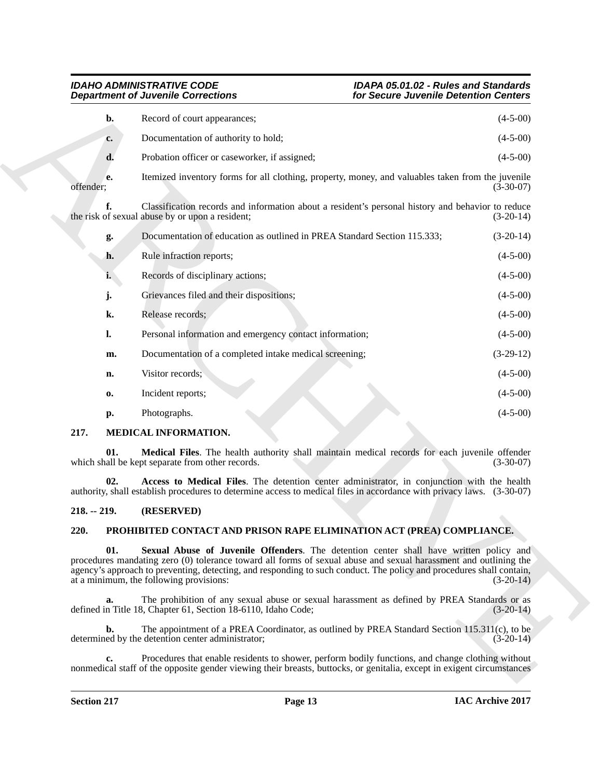| <b>Department of Juvenile Corrections</b> |                |                                                                                                                                                                                                                      | for Secure Juvenile Detention Centers |  |  |
|-------------------------------------------|----------------|----------------------------------------------------------------------------------------------------------------------------------------------------------------------------------------------------------------------|---------------------------------------|--|--|
|                                           | b.             | Record of court appearances;                                                                                                                                                                                         | $(4-5-00)$                            |  |  |
|                                           | c.             | Documentation of authority to hold;                                                                                                                                                                                  | $(4-5-00)$                            |  |  |
|                                           | d.             | Probation officer or caseworker, if assigned;                                                                                                                                                                        | $(4-5-00)$                            |  |  |
| offender;                                 | e.             | Itemized inventory forms for all clothing, property, money, and valuables taken from the juvenile                                                                                                                    | $(3-30-07)$                           |  |  |
|                                           | f.             | Classification records and information about a resident's personal history and behavior to reduce<br>the risk of sexual abuse by or upon a resident;                                                                 | $(3-20-14)$                           |  |  |
|                                           | g.             | Documentation of education as outlined in PREA Standard Section 115.333;                                                                                                                                             | $(3-20-14)$                           |  |  |
|                                           | h.             | Rule infraction reports;                                                                                                                                                                                             | $(4-5-00)$                            |  |  |
|                                           | i.             | Records of disciplinary actions;                                                                                                                                                                                     | $(4-5-00)$                            |  |  |
|                                           | j.             | Grievances filed and their dispositions;                                                                                                                                                                             | $(4-5-00)$                            |  |  |
|                                           | k.             | Release records;                                                                                                                                                                                                     | $(4-5-00)$                            |  |  |
|                                           | $\mathbf{l}$ . | Personal information and emergency contact information;                                                                                                                                                              | $(4-5-00)$                            |  |  |
|                                           | m.             | Documentation of a completed intake medical screening;                                                                                                                                                               | $(3-29-12)$                           |  |  |
|                                           | n.             | Visitor records;                                                                                                                                                                                                     | $(4-5-00)$                            |  |  |
|                                           | 0.             | Incident reports;                                                                                                                                                                                                    | $(4-5-00)$                            |  |  |
|                                           | р.             | Photographs.                                                                                                                                                                                                         | $(4-5-00)$                            |  |  |
| 217.                                      |                | MEDICAL INFORMATION.                                                                                                                                                                                                 |                                       |  |  |
|                                           | 01.            | Medical Files. The health authority shall maintain medical records for each juvenile offender<br>which shall be kept separate from other records.                                                                    | $(3-30-07)$                           |  |  |
|                                           | 02.            | Access to Medical Files. The detention center administrator, in conjunction with the health<br>authority, shall establish procedures to determine access to medical files in accordance with privacy laws. (3-30-07) |                                       |  |  |
| $218. - 219.$                             |                | (RESERVED)                                                                                                                                                                                                           |                                       |  |  |
| 220.                                      |                | PROHIBITED CONTACT AND PRISON RAPE ELIMINATION ACT (PREA) COMPLIANCE.                                                                                                                                                |                                       |  |  |
|                                           | 01.            | Sexual Abuse of Juvenile Offenders. The detention center shall have written policy and<br>procedures mandating zero (0) tolerance toward all forms of sexual abuse and sexual harassment and outlining the           |                                       |  |  |
|                                           |                | agency's approach to preventing, detecting, and responding to such conduct. The policy and procedures shall contain,<br>at a minimum, the following provisions:                                                      | $(3-20-14)$                           |  |  |
|                                           | a.             | The prohibition of any sexual abuse or sexual harassment as defined by PREA Standards or as<br>defined in Title 18, Chapter 61, Section 18-6110, Idaho Code;                                                         |                                       |  |  |
|                                           | $b$ .          | The appointment of a PREA Coordinator, as outlined by PREA Standard Section 115.311(c), to be<br>determined by the detention center administrator;                                                                   | $(3-20-14)$<br>$(3-20-14)$            |  |  |

#### <span id="page-12-4"></span><span id="page-12-0"></span>**217. MEDICAL INFORMATION.**

#### <span id="page-12-3"></span><span id="page-12-1"></span>**218. -- 219. (RESERVED)**

#### <span id="page-12-6"></span><span id="page-12-5"></span><span id="page-12-2"></span>**220. PROHIBITED CONTACT AND PRISON RAPE ELIMINATION ACT (PREA) COMPLIANCE.**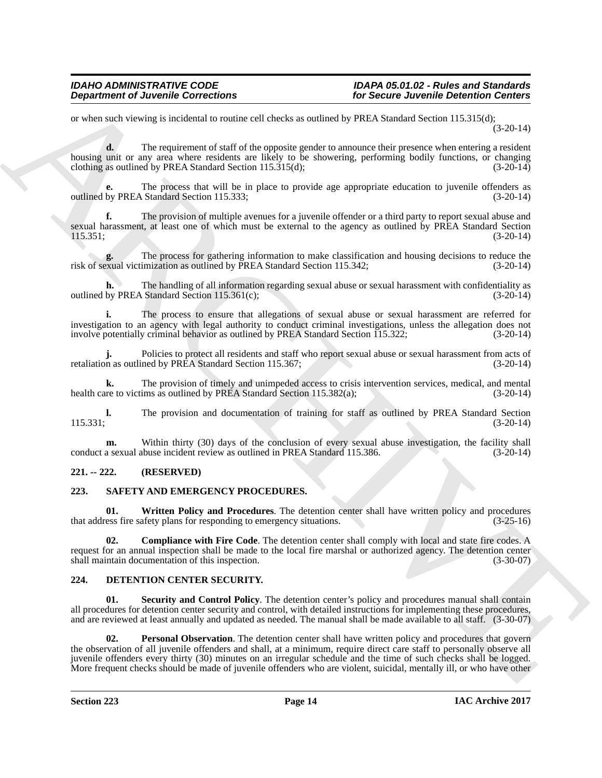#### *IDAHO ADMINISTRATIVE CODE IDAPA 05.01.02 - Rules and Standards for Secure Juvenile Detention Centers*

or when such viewing is incidental to routine cell checks as outlined by PREA Standard Section 115.315(d); (3-20-14)

**d.** The requirement of staff of the opposite gender to announce their presence when entering a resident housing unit or any area where residents are likely to be showering, performing bodily functions, or changing clothing as outlined by PREA Standard Section 115.315(d); (3-20-14) clothing as outlined by PREA Standard Section  $115.315(d)$ ;

**e.** The process that will be in place to provide age appropriate education to juvenile offenders as outlined by PREA Standard Section 115.333; (3-20-14)

**f.** The provision of multiple avenues for a juvenile offender or a third party to report sexual abuse and sexual harassment, at least one of which must be external to the agency as outlined by PREA Standard Section 115.351: (3-20-14)  $115.351;$  (3-20-14)

**g.** The process for gathering information to make classification and housing decisions to reduce the exual victimization as outlined by PREA Standard Section 115.342; (3-20-14) risk of sexual victimization as outlined by PREA Standard Section 115.342;

**h.** The handling of all information regarding sexual abuse or sexual harassment with confidentiality as outlined by PREA Standard Section 115.361(c); (3-20-14)

**i.** The process to ensure that allegations of sexual abuse or sexual harassment are referred for investigation to an agency with legal authority to conduct criminal investigations, unless the allegation does not involve potentially criminal behavior as outlined by PREA Standard Section 115.322; (3-20-14) involve potentially criminal behavior as outlined by PREA Standard Section 115.322;

**j.** Policies to protect all residents and staff who report sexual abuse or sexual harassment from acts of n as outlined by PREA Standard Section 115.367: retaliation as outlined by PREA Standard Section 115.367;

**k.** The provision of timely and unimpeded access to crisis intervention services, medical, and mental re to victims as outlined by PREA Standard Section 115.382(a); (3-20-14) health care to victims as outlined by PREA Standard Section 115.382(a);

**l.** The provision and documentation of training for staff as outlined by PREA Standard Section (3-20-14)  $(3-20-14)$ 

**m.** Within thirty (30) days of the conclusion of every sexual abuse investigation, the facility shall a sexual abuse incident review as outlined in PREA Standard 115.386. (3-20-14) conduct a sexual abuse incident review as outlined in PREA Standard 115.386.

#### <span id="page-13-0"></span>**221. -- 222. (RESERVED)**

#### <span id="page-13-1"></span>**223. SAFETY AND EMERGENCY PROCEDURES.**

<span id="page-13-7"></span>**01.** Written Policy and Procedures. The detention center shall have written policy and procedures ess fire safety plans for responding to emergency situations. (3-25-16) that address fire safety plans for responding to emergency situations.

<span id="page-13-6"></span>**02. Compliance with Fire Code**. The detention center shall comply with local and state fire codes. A request for an annual inspection shall be made to the local fire marshal or authorized agency. The detention center shall maintain documentation of this inspection. (3-30-07) shall maintain documentation of this inspection.

#### <span id="page-13-3"></span><span id="page-13-2"></span>**224. DETENTION CENTER SECURITY.**

<span id="page-13-5"></span><span id="page-13-4"></span>**Security and Control Policy**. The detention center's policy and procedures manual shall contain all procedures for detention center security and control, with detailed instructions for implementing these procedures, and are reviewed at least annually and updated as needed. The manual shall be made available to all staff. (3-30-07)

**Department of Juvenile Connections**<br>
or shown in the specific connections<br>
or shown in the specific connections of the specific connections of the specific connections of the specific connections of the specific connecti **02. Personal Observation**. The detention center shall have written policy and procedures that govern the observation of all juvenile offenders and shall, at a minimum, require direct care staff to personally observe all juvenile offenders every thirty (30) minutes on an irregular schedule and the time of such checks shall be logged. More frequent checks should be made of juvenile offenders who are violent, suicidal, mentally ill, or who have other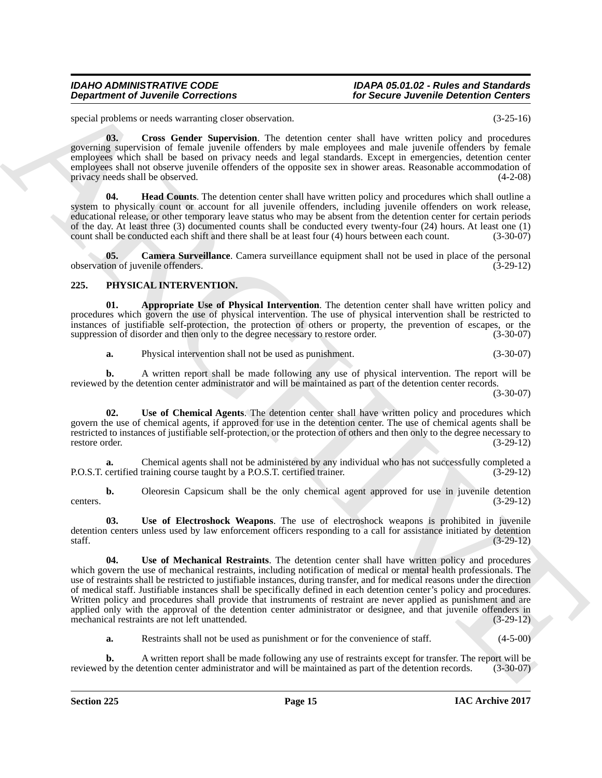### *Department of Juvenile Corrections for Secure Juvenile Detention Centers*

## *IDAHO ADMINISTRATIVE CODE IDAPA 05.01.02 - Rules and Standards*

<span id="page-14-2"></span>special problems or needs warranting closer observation. (3-25-16)

**03. Cross Gender Supervision**. The detention center shall have written policy and procedures governing supervision of female juvenile offenders by male employees and male juvenile offenders by female employees which shall be based on privacy needs and legal standards. Except in emergencies, detention center employees shall not observe juvenile offenders of the opposite sex in shower areas. Reasonable accommodation of privacy needs shall be observed. (4-2-08) privacy needs shall be observed.

<span id="page-14-3"></span>**04. Head Counts**. The detention center shall have written policy and procedures which shall outline a system to physically count or account for all juvenile offenders, including juvenile offenders on work release, educational release, or other temporary leave status who may be absent from the detention center for certain periods of the day. At least three (3) documented counts shall be conducted every twenty-four (24) hours. At least one (1) count shall be conducted each shift and there shall be at least four (4) hours between each count. (3-30-07 count shall be conducted each shift and there shall be at least four (4) hours between each count.

<span id="page-14-1"></span>**05. Camera Surveillance**. Camera surveillance equipment shall not be used in place of the personal ion of juvenile offenders. (3-29-12) observation of juvenile offenders.

#### <span id="page-14-4"></span><span id="page-14-0"></span>**225. PHYSICAL INTERVENTION.**

**01. Appropriate Use of Physical Intervention**. The detention center shall have written policy and procedures which govern the use of physical intervention. The use of physical intervention shall be restricted to instances of justifiable self-protection, the protection of others or property, the prevention of escapes, or the suppression of disorder and then only to the degree necessary to restore order. (3-30-07) suppression of disorder and then only to the degree necessary to restore order.

<span id="page-14-6"></span><span id="page-14-5"></span>**a.** Physical intervention shall not be used as punishment. (3-30-07)

**b.** A written report shall be made following any use of physical intervention. The report will be reviewed by the detention center administrator and will be maintained as part of the detention center records.

(3-30-07)

Use of Chemical Agents. The detention center shall have written policy and procedures which govern the use of chemical agents, if approved for use in the detention center. The use of chemical agents shall be restricted to instances of justifiable self-protection, or the protection of others and then only to the degree necessary to restore order. (3-29-12) restore order. (3-29-12)

**a.** Chemical agents shall not be administered by any individual who has not successfully completed a certified training course taught by a P.O.S.T. certified trainer. (3-29-12) P.O.S.T. certified training course taught by a P.O.S.T. certified trainer.

**b.** Oleoresin Capsicum shall be the only chemical agent approved for use in juvenile detention (3-29-12) centers.  $(3-29-12)$ 

<span id="page-14-8"></span><span id="page-14-7"></span>**03. Use of Electroshock Weapons**. The use of electroshock weapons is prohibited in juvenile detention centers unless used by law enforcement officers responding to a call for assistance initiated by detention staff. (3-29-12)

**Department of Juvenile Connections**<br>
specified as one considerations of the Science Arrest into the specified and the specified and the specified and the specified and the specified and the specified and the specified an **04. Use of Mechanical Restraints**. The detention center shall have written policy and procedures which govern the use of mechanical restraints, including notification of medical or mental health professionals. The use of restraints shall be restricted to justifiable instances, during transfer, and for medical reasons under the direction of medical staff. Justifiable instances shall be specifically defined in each detention center's policy and procedures. Written policy and procedures shall provide that instruments of restraint are never applied as punishment and are applied only with the approval of the detention center administrator or designee, and that juvenile offenders in mechanical restraints are not left unattended. (3-29-12)

**a.** Restraints shall not be used as punishment or for the convenience of staff.  $(4-5-00)$ 

A written report shall be made following any use of restraints except for transfer. The report will be detention center administrator and will be maintained as part of the detention records. (3-30-07) reviewed by the detention center administrator and will be maintained as part of the detention records.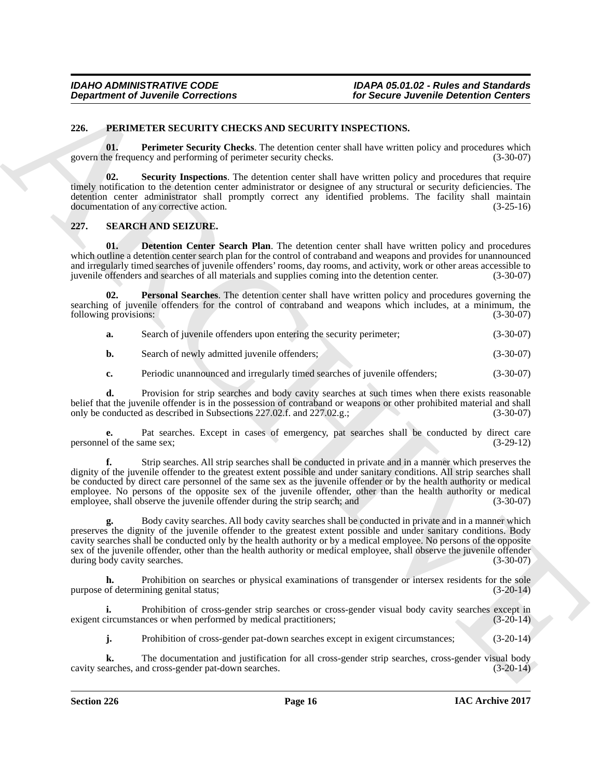#### <span id="page-15-0"></span>**226. PERIMETER SECURITY CHECKS AND SECURITY INSPECTIONS.**

<span id="page-15-2"></span>**01.** Perimeter Security Checks. The detention center shall have written policy and procedures which govern the frequency and performing of perimeter security checks. (3-30-07)

<span id="page-15-3"></span>**02. Security Inspections**. The detention center shall have written policy and procedures that require timely notification to the detention center administrator or designee of any structural or security deficiencies. The detention center administrator shall promptly correct any identified problems. The facility shall maintain documentation of any corrective action. (3-25-16)

#### <span id="page-15-4"></span><span id="page-15-1"></span>**227. SEARCH AND SEIZURE.**

<span id="page-15-5"></span>**01. Detention Center Search Plan**. The detention center shall have written policy and procedures which outline a detention center search plan for the control of contraband and weapons and provides for unannounced and irregularly timed searches of juvenile offenders' rooms, day rooms, and activity, work or other areas accessible to juvenile offenders and searches of all materials and supplies coming into the detention center. (3-30juvenile offenders and searches of all materials and supplies coming into the detention center.

**Personal Searches**. The detention center shall have written policy and procedures governing the searching of juvenile offenders for the control of contraband and weapons which includes, at a minimum, the following provisions: (3-30-07) following provisions:

<span id="page-15-6"></span>

| a. | Search of juvenile offenders upon entering the security perimeter; | $(3-30-07)$ |
|----|--------------------------------------------------------------------|-------------|
|----|--------------------------------------------------------------------|-------------|

**b.** Search of newly admitted juvenile offenders; (3-30-07)

**c.** Periodic unannounced and irregularly timed searches of juvenile offenders; (3-30-07)

**d.** Provision for strip searches and body cavity searches at such times when there exists reasonable belief that the juvenile offender is in the possession of contraband or weapons or other prohibited material and shall<br>only be conducted as described in Subsections 227.02.f. and 227.02.g.: (3-30-07) only be conducted as described in Subsections 227.02.f. and 227.02.g.; (3-30-07)

**e.** Pat searches. Except in cases of emergency, pat searches shall be conducted by direct care personnel of the same sex; (3-29-12)

**Department of Juvenile Connections**<br> **Conserver and The Security Checks.** The shows that the results are the shown in the specific of the specific of the specific of the specific of the specific of the specific of the sp **f.** Strip searches. All strip searches shall be conducted in private and in a manner which preserves the dignity of the juvenile offender to the greatest extent possible and under sanitary conditions. All strip searches shall be conducted by direct care personnel of the same sex as the juvenile offender or by the health authority or medical employee. No persons of the opposite sex of the juvenile offender, other than the health authority or medical employee, shall observe the juvenile offender during the strip search; and (3-30-07) employee, shall observe the juvenile offender during the strip search; and

**g.** Body cavity searches. All body cavity searches shall be conducted in private and in a manner which preserves the dignity of the juvenile offender to the greatest extent possible and under sanitary conditions. Body cavity searches shall be conducted only by the health authority or by a medical employee. No persons of the opposite sex of the juvenile offender, other than the health authority or medical employee, shall observe the juvenile offender during body cavity searches. (3-30-07) during body cavity searches.

**h.** Prohibition on searches or physical examinations of transgender or intersex residents for the sole purpose of determining genital status; (3-20-14)

**i.** Prohibition of cross-gender strip searches or cross-gender visual body cavity searches except in exigent circumstances or when performed by medical practitioners; (3-20-14)

**j.** Prohibition of cross-gender pat-down searches except in exigent circumstances; (3-20-14)

**k.** The documentation and justification for all cross-gender strip searches, cross-gender visual body arches, and cross-gender pat-down searches. (3-20-14) cavity searches, and cross-gender pat-down searches.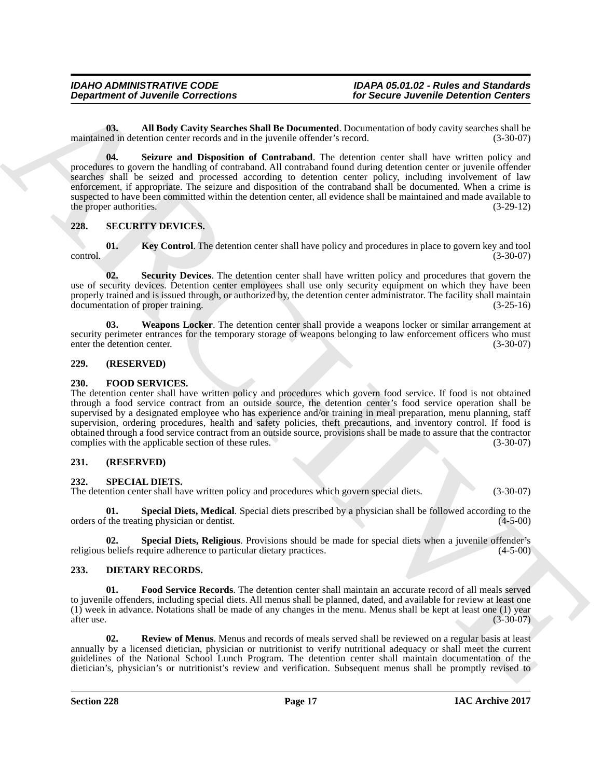### *IDAHO ADMINISTRATIVE CODE IDAPA 05.01.02 - Rules and Standards*

<span id="page-16-10"></span><span id="page-16-9"></span>**03. All Body Cavity Searches Shall Be Documented**. Documentation of body cavity searches shall be maintained in detention center records and in the juvenile offender's record.

**Department of Juvenile Convections**<br> **Convertise Convertises**<br> **Convertise Convertises**<br> **Convertise Convertises**<br> **Convertises**<br> **Convertises**<br> **Convertises**<br> **Convertises**<br> **Convertises**<br> **Convertises**<br> **Convertises**<br> **04. Seizure and Disposition of Contraband**. The detention center shall have written policy and procedures to govern the handling of contraband. All contraband found during detention center or juvenile offender searches shall be seized and processed according to detention center policy, including involvement of law enforcement, if appropriate. The seizure and disposition of the contraband shall be documented. When a crime is suspected to have been committed within the detention center, all evidence shall be maintained and made available to the proper authorities.  $(3-29-12)$ 

#### <span id="page-16-0"></span>**228. SECURITY DEVICES.**

<span id="page-16-11"></span>**01. Key Control**. The detention center shall have policy and procedures in place to govern key and tool control. (3-30-07)

<span id="page-16-12"></span>**02. Security Devices**. The detention center shall have written policy and procedures that govern the use of security devices. Detention center employees shall use only security equipment on which they have been properly trained and is issued through, or authorized by, the detention center administrator. The facility shall maintain documentation of proper training. (3-25-16)

<span id="page-16-13"></span>**03. Weapons Locker**. The detention center shall provide a weapons locker or similar arrangement at security perimeter entrances for the temporary storage of weapons belonging to law enforcement officers who must<br>enter the detention center. (3-30-07) enter the detention center.

#### <span id="page-16-1"></span>**229. (RESERVED)**

#### <span id="page-16-8"></span><span id="page-16-2"></span>**230. FOOD SERVICES.**

The detention center shall have written policy and procedures which govern food service. If food is not obtained through a food service contract from an outside source, the detention center's food service operation shall be supervised by a designated employee who has experience and/or training in meal preparation, menu planning, staff supervision, ordering procedures, health and safety policies, theft precautions, and inventory control. If food is obtained through a food service contract from an outside source, provisions shall be made to assure that the contractor complies with the applicable section of these rules. (3-30-07)

#### <span id="page-16-3"></span>**231. (RESERVED)**

#### <span id="page-16-4"></span>**232. SPECIAL DIETS.**

The detention center shall have written policy and procedures which govern special diets. (3-30-07)

<span id="page-16-14"></span>**01. Special Diets, Medical**. Special diets prescribed by a physician shall be followed according to the treating physician or dentist. (4-5-00) orders of the treating physician or dentist.

<span id="page-16-15"></span>**02. Special Diets, Religious**. Provisions should be made for special diets when a juvenile offender's beliefs require adherence to particular dietary practices. (4-5-00) religious beliefs require adherence to particular dietary practices.

#### <span id="page-16-5"></span>**233. DIETARY RECORDS.**

<span id="page-16-6"></span>**01. Food Service Records**. The detention center shall maintain an accurate record of all meals served to juvenile offenders, including special diets. All menus shall be planned, dated, and available for review at least one (1) week in advance. Notations shall be made of any changes in the menu. Menus shall be kept at least one (1) year after use.  $(3-30-07)$ 

<span id="page-16-7"></span>**02. Review of Menus**. Menus and records of meals served shall be reviewed on a regular basis at least annually by a licensed dietician, physician or nutritionist to verify nutritional adequacy or shall meet the current guidelines of the National School Lunch Program. The detention center shall maintain documentation of the dietician's, physician's or nutritionist's review and verification. Subsequent menus shall be promptly revised to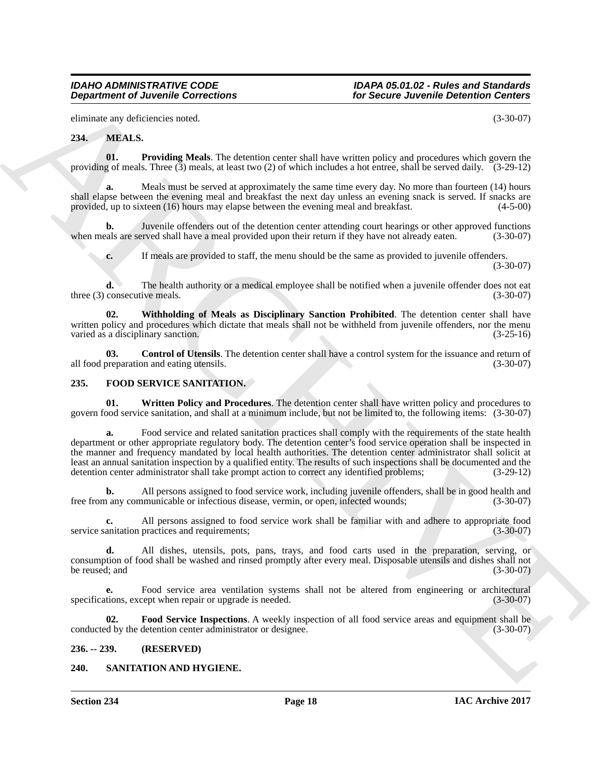*IDAHO ADMINISTRATIVE CODE IDAPA 05.01.02 - Rules and Standards*

eliminate any deficiencies noted. (3-30-07)

#### <span id="page-17-9"></span><span id="page-17-7"></span><span id="page-17-0"></span>**234. MEALS.**

**01. Providing Meals**. The detention center shall have written policy and procedures which govern the providing of meals. Three  $(\overline{3})$  meals, at least two  $(2)$  of which includes a hot entree, shall be served daily.  $(3-29-12)$ 

**a.** Meals must be served at approximately the same time every day. No more than fourteen (14) hours shall elapse between the evening meal and breakfast the next day unless an evening snack is served. If snacks are provided, up to sixteen (16) hours may elapse between the evening meal and breakfast. (4-5-00)

**b.** Juvenile offenders out of the detention center attending court hearings or other approved functions als are served shall have a meal provided upon their return if they have not already eaten. (3-30-07) when meals are served shall have a meal provided upon their return if they have not already eaten.

<span id="page-17-10"></span>**c.** If meals are provided to staff, the menu should be the same as provided to juvenile offenders. (3-30-07)

**d.** The health authority or a medical employee shall be notified when a juvenile offender does not eat three (3) consecutive meals. (3-30-07)

**02. Withholding of Meals as Disciplinary Sanction Prohibited**. The detention center shall have written policy and procedures which dictate that meals shall not be withheld from juvenile offenders, nor the menu<br>varied as a disciplinary sanction. (3-25-16) varied as a disciplinary sanction.

<span id="page-17-8"></span>**03. Control of Utensils**. The detention center shall have a control system for the issuance and return of preparation and eating utensils. all food preparation and eating utensils.

#### <span id="page-17-4"></span><span id="page-17-1"></span>**235. FOOD SERVICE SANITATION.**

<span id="page-17-6"></span>**01. Written Policy and Procedures**. The detention center shall have written policy and procedures to govern food service sanitation, and shall at a minimum include, but not be limited to, the following items: (3-30-07)

**Department of Juvenile Connections**<br>
Statistics (3.99 CM)<br>
Connections (3.99 CM)<br>
234. With LS.<br>
246. Which is the department of the statistic connection and the vector policy and procedure which growth groups of the sta Food service and related sanitation practices shall comply with the requirements of the state health department or other appropriate regulatory body. The detention center's food service operation shall be inspected in the manner and frequency mandated by local health authorities. The detention center administrator shall solicit at least an annual sanitation inspection by a qualified entity. The results of such inspections shall be documented and the detention center administrator shall take prompt action to correct any identified problems:  $(3-29-12$ detention center administrator shall take prompt action to correct any identified problems;

**b.** All persons assigned to food service work, including juvenile offenders, shall be in good health and any communicable or infectious disease, vermin, or open, infected wounds: (3-30-07) free from any communicable or infectious disease, vermin, or open, infected wounds;

**c.** All persons assigned to food service work shall be familiar with and adhere to appropriate food service sanitation practices and requirements; (3-30-07)

**d.** All dishes, utensils, pots, pans, trays, and food carts used in the preparation, serving, or consumption of food shall be washed and rinsed promptly after every meal. Disposable utensils and dishes shall not be reused; and  $(3-30-07)$ 

**e.** Food service area ventilation systems shall not be altered from engineering or architectural tions, except when repair or upgrade is needed. (3-30-07) specifications, except when repair or upgrade is needed.

<span id="page-17-5"></span>**Food Service Inspections**. A weekly inspection of all food service areas and equipment shall be detention center administrator or designee. (3-30-07) conducted by the detention center administrator or designee.

#### <span id="page-17-2"></span>**236. -- 239. (RESERVED)**

#### <span id="page-17-3"></span>**240. SANITATION AND HYGIENE.**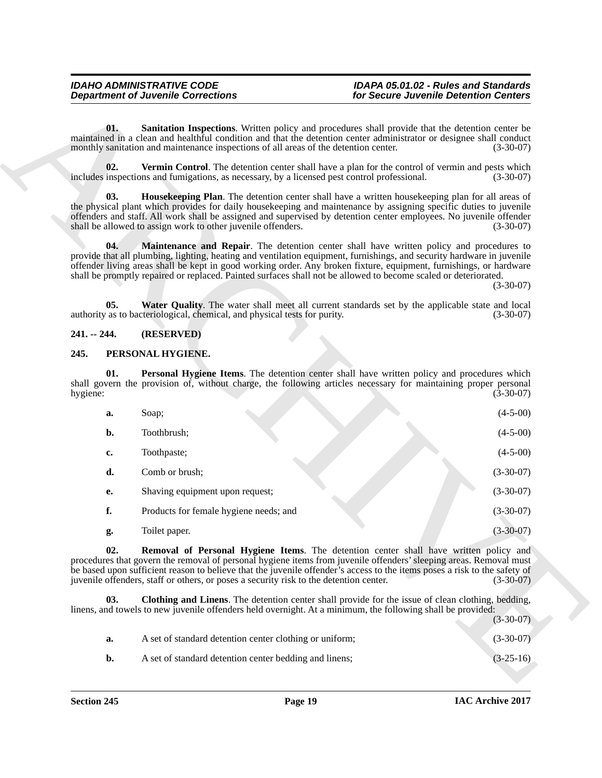## <span id="page-18-8"></span><span id="page-18-7"></span><span id="page-18-5"></span>*IDAHO ADMINISTRATIVE CODE IDAPA 05.01.02 - Rules and Standards*

#### <span id="page-18-9"></span><span id="page-18-6"></span><span id="page-18-0"></span>**241. -- 244. (RESERVED)**

#### <span id="page-18-3"></span><span id="page-18-1"></span>**245. PERSONAL HYGIENE.**

|                 | <b>Department of Juvenile Corrections</b>                                                                                                                                                                                                                                                                                                                                                                                                                   | for Secure Juvenile Detention Centers |             |
|-----------------|-------------------------------------------------------------------------------------------------------------------------------------------------------------------------------------------------------------------------------------------------------------------------------------------------------------------------------------------------------------------------------------------------------------------------------------------------------------|---------------------------------------|-------------|
| 01.             | Sanitation Inspections. Written policy and procedures shall provide that the detention center be<br>maintained in a clean and healthful condition and that the detention center administrator or designee shall conduct<br>monthly sanitation and maintenance inspections of all areas of the detention center.                                                                                                                                             |                                       | $(3-30-07)$ |
| 02.             | <b>Vermin Control.</b> The detention center shall have a plan for the control of vermin and pests which<br>includes inspections and fumigations, as necessary, by a licensed pest control professional.                                                                                                                                                                                                                                                     |                                       | $(3-30-07)$ |
| 03.             | Housekeeping Plan. The detention center shall have a written housekeeping plan for all areas of<br>the physical plant which provides for daily housekeeping and maintenance by assigning specific duties to juvenile<br>offenders and staff. All work shall be assigned and supervised by detention center employees. No juvenile offender<br>shall be allowed to assign work to other juvenile offenders.                                                  |                                       | $(3-30-07)$ |
| 04.             | Maintenance and Repair. The detention center shall have written policy and procedures to<br>provide that all plumbing, lighting, heating and ventilation equipment, furnishings, and security hardware in juvenile<br>offender living areas shall be kept in good working order. Any broken fixture, equipment, furnishings, or hardware<br>shall be promptly repaired or replaced. Painted surfaces shall not be allowed to become scaled or deteriorated. |                                       | $(3-30-07)$ |
| 05.             | Water Quality. The water shall meet all current standards set by the applicable state and local<br>authority as to bacteriological, chemical, and physical tests for purity.                                                                                                                                                                                                                                                                                |                                       | $(3-30-07)$ |
| $241. - 244.$   | (RESERVED)                                                                                                                                                                                                                                                                                                                                                                                                                                                  |                                       |             |
| 245.            | PERSONAL HYGIENE.                                                                                                                                                                                                                                                                                                                                                                                                                                           |                                       |             |
| 01.<br>hygiene: | Personal Hygiene Items. The detention center shall have written policy and procedures which<br>shall govern the provision of, without charge, the following articles necessary for maintaining proper personal                                                                                                                                                                                                                                              |                                       | $(3-30-07)$ |
| a.              | Soap;                                                                                                                                                                                                                                                                                                                                                                                                                                                       |                                       | $(4-5-00)$  |
|                 |                                                                                                                                                                                                                                                                                                                                                                                                                                                             |                                       |             |
| b.              | Toothbrush;                                                                                                                                                                                                                                                                                                                                                                                                                                                 |                                       | $(4-5-00)$  |
| c.              | Toothpaste;                                                                                                                                                                                                                                                                                                                                                                                                                                                 |                                       | $(4-5-00)$  |
| d.              | Comb or brush;                                                                                                                                                                                                                                                                                                                                                                                                                                              |                                       | $(3-30-07)$ |
| е.              | Shaving equipment upon request;                                                                                                                                                                                                                                                                                                                                                                                                                             |                                       | $(3-30-07)$ |
| f.              | Products for female hygiene needs; and                                                                                                                                                                                                                                                                                                                                                                                                                      |                                       | $(3-30-07)$ |
| g.              | Toilet paper.                                                                                                                                                                                                                                                                                                                                                                                                                                               |                                       | $(3-30-07)$ |
| 02.             | <b>Removal of Personal Hygiene Items.</b> The detention center shall have written policy and<br>procedures that govern the removal of personal hygiene items from juvenile offenders' sleeping areas. Removal must<br>be based upon sufficient reason to believe that the juvenile offender's access to the items poses a risk to the safety of<br>juvenile offenders, staff or others, or poses a security risk to the detention center.                   |                                       | $(3-30-07)$ |
| 03.             | <b>Clothing and Linens.</b> The detention center shall provide for the issue of clean clothing, bedding,<br>linens, and towels to new juvenile offenders held overnight. At a minimum, the following shall be provided:                                                                                                                                                                                                                                     |                                       | $(3-30-07)$ |
| a.              | A set of standard detention center clothing or uniform;                                                                                                                                                                                                                                                                                                                                                                                                     |                                       | $(3-30-07)$ |

<span id="page-18-4"></span><span id="page-18-2"></span>

|    |                                                         | $\sim$ 000 $\sim$ $\prime$ $\sim$ |
|----|---------------------------------------------------------|-----------------------------------|
| а. | A set of standard detention center clothing or uniform; | $(3-30-07)$                       |
| b. | A set of standard detention center bedding and linens;  | $(3-25-16)$                       |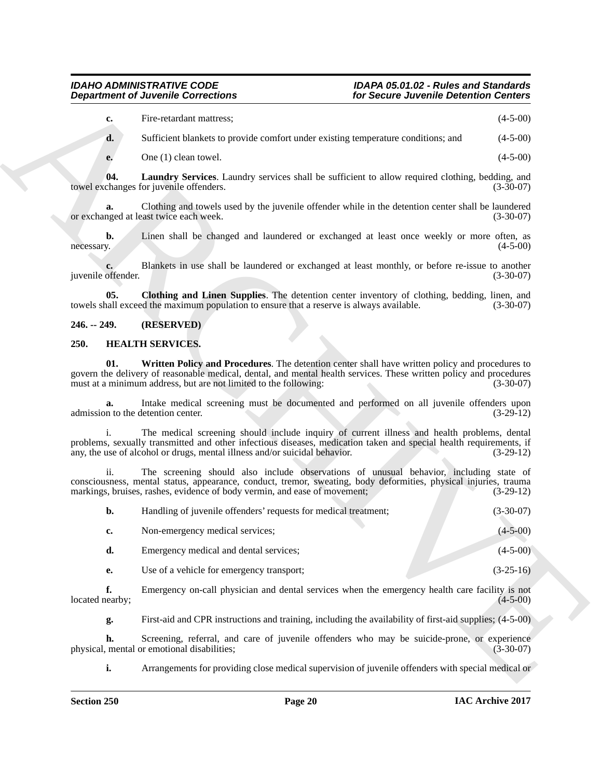| Fire-retardant mattress; | $(4-5-00)$ |
|--------------------------|------------|
|--------------------------|------------|

**d.** Sufficient blankets to provide comfort under existing temperature conditions; and  $(4-5-00)$ 

<span id="page-19-5"></span>**e.** One (1) clean towel. (4-5-00)

**04. Laundry Services**. Laundry services shall be sufficient to allow required clothing, bedding, and towel exchanges for juvenile offenders.

**a.** Clothing and towels used by the juvenile offender while in the detention center shall be laundered or exchanged at least twice each week. (3-30-07)

**b.** Linen shall be changed and laundered or exchanged at least once weekly or more often, as necessary. (4-5-00) necessary. (4-5-00)

Blankets in use shall be laundered or exchanged at least monthly, or before re-issue to another (3-30-07) juvenile offender.

<span id="page-19-4"></span>**05.** Clothing and Linen Supplies. The detention center inventory of clothing, bedding, linen, and hall exceed the maximum population to ensure that a reserve is always available. (3-30-07) towels shall exceed the maximum population to ensure that a reserve is always available.

#### <span id="page-19-0"></span>**246. -- 249. (RESERVED)**

#### <span id="page-19-2"></span><span id="page-19-1"></span>**250. HEALTH SERVICES.**

<span id="page-19-3"></span>**01. Written Policy and Procedures**. The detention center shall have written policy and procedures to govern the delivery of reasonable medical, dental, and mental health services. These written policy and procedures must at a minimum address, but are not limited to the following: (3-30-07) must at a minimum address, but are not limited to the following:

**a.** Intake medical screening must be documented and performed on all juvenile offenders upon n to the detention center. (3-29-12) admission to the detention center.

**Department of Juvenile Connections**<br>
Considerations<br>
Consideration and the static energy exponents contribute to the static energy (4.4-5.0)<br>
Consideration and the static energy exponents contribute to the static energy The medical screening should include inquiry of current illness and health problems, dental problems, sexually transmitted and other infectious diseases, medication taken and special health requirements, if any, the use of alcohol or drugs, mental illness and/or suicidal behavior. (3-29-12) any, the use of alcohol or drugs, mental illness and/or suicidal behavior.

ii. The screening should also include observations of unusual behavior, including state of consciousness, mental status, appearance, conduct, tremor, sweating, body deformities, physical injuries, trauma markings, bruises, rashes, evidence of body vermin, and ease of movement; (3-29-12)

|  | Handling of juvenile offenders' requests for medical treatment; | $(3-30-07)$ |
|--|-----------------------------------------------------------------|-------------|
|--|-----------------------------------------------------------------|-------------|

| Non-emergency medical services; | $(4-5-00)$ |
|---------------------------------|------------|
|                                 |            |

- **d.** Emergency medical and dental services; (4-5-00)
- **e.** Use of a vehicle for emergency transport; (3-25-16)

**f.** Emergency on-call physician and dental services when the emergency health care facility is not earby; (4-5-00) located nearby;

**g.** First-aid and CPR instructions and training, including the availability of first-aid supplies; (4-5-00)

**h.** Screening, referral, and care of juvenile offenders who may be suicide-prone, or experience metal or emotional disabilities; (3-30-07) physical, mental or emotional disabilities;

**i.** Arrangements for providing close medical supervision of juvenile offenders with special medical or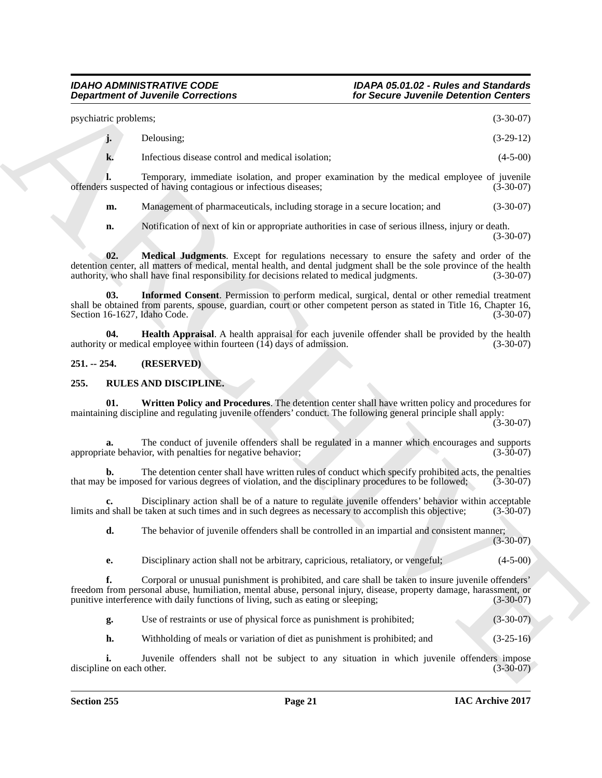| psychiatric problems; |            | $(3-30-07)$ |
|-----------------------|------------|-------------|
|                       | Delousing: | $(3-29-12)$ |

| Infectious disease control and medical isolation: | $(4-5-00)$ |
|---------------------------------------------------|------------|

**l.** Temporary, immediate isolation, and proper examination by the medical employee of juvenile s suspected of having contagious or infectious diseases: (3-30-07) offenders suspected of having contagious or infectious diseases; (3-30-07)

**m.** Management of pharmaceuticals, including storage in a secure location; and  $(3-30-07)$ 

<span id="page-20-4"></span><span id="page-20-3"></span>**n.** Notification of next of kin or appropriate authorities in case of serious illness, injury or death. (3-30-07)

**02. Medical Judgments**. Except for regulations necessary to ensure the safety and order of the detention center, all matters of medical, mental health, and dental judgment shall be the sole province of the health authority, who shall have final responsibility for decisions related to medical judgments. (3-30-07) authority, who shall have final responsibility for decisions related to medical judgments.

**03. Informed Consent**. Permission to perform medical, surgical, dental or other remedial treatment shall be obtained from parents, spouse, guardian, court or other competent person as stated in Title 16, Chapter 16,<br>(3-30-07) (3-30-07) Section 16-1627, Idaho Code.

<span id="page-20-2"></span>**04. Health Appraisal**. A health appraisal for each juvenile offender shall be provided by the health or medical employee within fourteen (14) days of admission. (3-30-07) authority or medical employee within fourteen  $(14)$  days of admission.

#### <span id="page-20-0"></span>**251. -- 254. (RESERVED)**

#### <span id="page-20-1"></span>**255. RULES AND DISCIPLINE.**

<span id="page-20-5"></span>**01. Written Policy and Procedures**. The detention center shall have written policy and procedures for maintaining discipline and regulating juvenile offenders' conduct. The following general principle shall apply:  $(3-30-07)$ 

**a.** The conduct of juvenile offenders shall be regulated in a manner which encourages and supports the behavior, with penalties for negative behavior; appropriate behavior, with penalties for negative behavior;

**b.** The detention center shall have written rules of conduct which specify prohibited acts, the penalties be imposed for various degrees of violation, and the disciplinary procedures to be followed; (3-30-07) that may be imposed for various degrees of violation, and the disciplinary procedures to be followed;

**c.** Disciplinary action shall be of a nature to regulate juvenile offenders' behavior within acceptable d shall be taken at such times and in such degrees as necessary to accomplish this objective: (3-30-07) limits and shall be taken at such times and in such degrees as necessary to accomplish this objective;

**d.** The behavior of juvenile offenders shall be controlled in an impartial and consistent manner;

(3-30-07)

**e.** Disciplinary action shall not be arbitrary, capricious, retaliatory, or vengeful; (4-5-00)

**Department of Juvenile Connections**<br>
y-probation Connections<br>
y-architective connections<br>  $\mu$  Distance connection at metallication<br>  $\mu$  Distance connection at the state of the material engine of  $\mu$  and<br>  $\mu$  Distance **f.** Corporal or unusual punishment is prohibited, and care shall be taken to insure juvenile offenders' freedom from personal abuse, humiliation, mental abuse, personal injury, disease, property damage, harassment, or punitive interference with daily functions of living, such as eating or sleeping; (3-30-07) punitive interference with daily functions of living, such as eating or sleeping;

**g.** Use of restraints or use of physical force as punishment is prohibited; (3-30-07)

**h.** Withholding of meals or variation of diet as punishment is prohibited; and (3-25-16)

Juvenile offenders shall not be subject to any situation in which juvenile offenders impose other. (3-30-07) discipline on each other.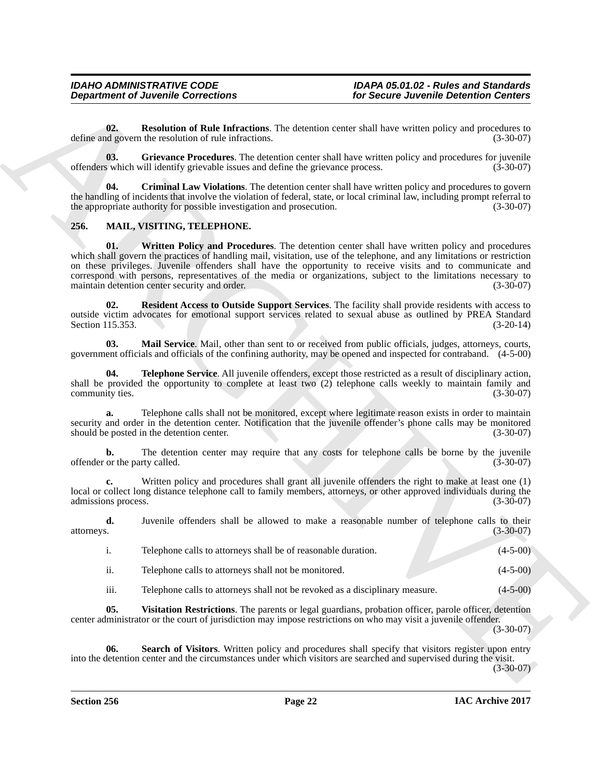<span id="page-21-10"></span>**02. Resolution of Rule Infractions**. The detention center shall have written policy and procedures to dependent policy and procedures to  $(3-30-07)$ define and govern the resolution of rule infractions.

<span id="page-21-9"></span>**03. Grievance Procedures**. The detention center shall have written policy and procedures for juvenile offenders which will identify grievable issues and define the grievance process. (3-30-07)

<span id="page-21-8"></span>**04. Criminal Law Violations**. The detention center shall have written policy and procedures to govern the handling of incidents that involve the violation of federal, state, or local criminal law, including prompt referral to the appropriate authority for possible investigation and prosecution. (3-30-07)

#### <span id="page-21-7"></span><span id="page-21-1"></span><span id="page-21-0"></span>**256. MAIL, VISITING, TELEPHONE.**

**Department of Juvenile Connections**<br> **Conserver and the Inference Connections**<br> **Conserver and the Inference Connections** The density change is the second of the Internal Second Connections<br>
density and procedures. The i **01.** Written Policy and Procedures. The detention center shall have written policy and procedures which shall govern the practices of handling mail, visitation, use of the telephone, and any limitations or restriction on these privileges. Juvenile offenders shall have the opportunity to receive visits and to communicate and correspond with persons, representatives of the media or organizations, subject to the limitations necessary to maintain detention center security and order.

<span id="page-21-3"></span>**02. Resident Access to Outside Support Services**. The facility shall provide residents with access to outside victim advocates for emotional support services related to sexual abuse as outlined by PREA Standard Section 115.353. (3-20-14) Section 115.353.

<span id="page-21-2"></span>**03. Mail Service**. Mail, other than sent to or received from public officials, judges, attorneys, courts, government officials and officials of the confining authority, may be opened and inspected for contraband. (4-5-00)

<span id="page-21-5"></span>**04. Telephone Service**. All juvenile offenders, except those restricted as a result of disciplinary action, shall be provided the opportunity to complete at least two  $(2)$  telephone calls weekly to maintain family and community ties. (3-30-07)

**a.** Telephone calls shall not be monitored, except where legitimate reason exists in order to maintain security and order in the detention center. Notification that the juvenile offender's phone calls may be monitored should be posted in the detention center. (3-30-07) should be posted in the detention center.

**b.** The detention center may require that any costs for telephone calls be borne by the juvenile or the party called. (3-30-07) offender or the party called.

**c.** Written policy and procedures shall grant all juvenile offenders the right to make at least one (1) local or collect long distance telephone call to family members, attorneys, or other approved individuals during the admissions process. (3-30-07) admissions process.

**d.** Juvenile offenders shall be allowed to make a reasonable number of telephone calls to their attorneys. (3-30-07)

|     | Telephone calls to attorneys shall be of reasonable duration. | $(4-5-00)$ |
|-----|---------------------------------------------------------------|------------|
| . . | Telephone calls to attorneys shall not be monitored.          | $(4-5-00)$ |

<span id="page-21-6"></span><span id="page-21-4"></span>iii. Telephone calls to attorneys shall not be revoked as a disciplinary measure. (4-5-00)

**05. Visitation Restrictions**. The parents or legal guardians, probation officer, parole officer, detention center administrator or the court of jurisdiction may impose restrictions on who may visit a juvenile offender.

(3-30-07)

**06. Search of Visitors**. Written policy and procedures shall specify that visitors register upon entry into the detention center and the circumstances under which visitors are searched and supervised during the visit.

(3-30-07)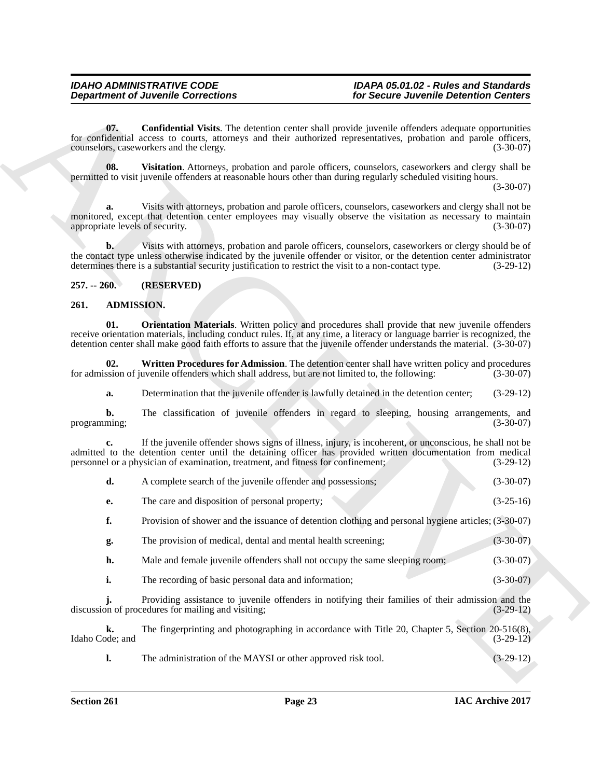#### <span id="page-22-6"></span><span id="page-22-0"></span>**257. -- 260. (RESERVED)**

#### <span id="page-22-4"></span><span id="page-22-3"></span><span id="page-22-2"></span><span id="page-22-1"></span>**261. ADMISSION.**

<span id="page-22-5"></span>

| <b>Department of Juvenile Corrections</b> |                   |                                                                                                                                                                                                                                                                                                                                                                | for Secure Juvenile Detention Centers |  |
|-------------------------------------------|-------------------|----------------------------------------------------------------------------------------------------------------------------------------------------------------------------------------------------------------------------------------------------------------------------------------------------------------------------------------------------------------|---------------------------------------|--|
|                                           | 07.               | <b>Confidential Visits</b> . The detention center shall provide juvenile offenders adequate opportunities<br>for confidential access to courts, attorneys and their authorized representatives, probation and parole officers,<br>counselors, caseworkers and the clergy.                                                                                      | $(3-30-07)$                           |  |
|                                           | 08.               | Visitation. Attorneys, probation and parole officers, counselors, caseworkers and clergy shall be<br>permitted to visit juvenile offenders at reasonable hours other than during regularly scheduled visiting hours.                                                                                                                                           | $(3-30-07)$                           |  |
| a.                                        |                   | Visits with attorneys, probation and parole officers, counselors, caseworkers and clergy shall not be<br>monitored, except that detention center employees may visually observe the visitation as necessary to maintain<br>appropriate levels of security.                                                                                                     | $(3-30-07)$                           |  |
| $\mathbf{b}$ .                            |                   | Visits with attorneys, probation and parole officers, counselors, caseworkers or clergy should be of<br>the contact type unless otherwise indicated by the juvenile offender or visitor, or the detention center administrator<br>determines there is a substantial security justification to restrict the visit to a non-contact type.                        | $(3-29-12)$                           |  |
| $257. - 260.$                             |                   | (RESERVED)                                                                                                                                                                                                                                                                                                                                                     |                                       |  |
| 261.                                      | <b>ADMISSION.</b> |                                                                                                                                                                                                                                                                                                                                                                |                                       |  |
| 01.                                       |                   | <b>Orientation Materials.</b> Written policy and procedures shall provide that new juvenile offenders<br>receive orientation materials, including conduct rules. If, at any time, a literacy or language barrier is recognized, the<br>detention center shall make good faith efforts to assure that the juvenile offender understands the material. (3-30-07) |                                       |  |
|                                           | 02.               | Written Procedures for Admission. The detention center shall have written policy and procedures<br>for admission of juvenile offenders which shall address, but are not limited to, the following:                                                                                                                                                             | $(3-30-07)$                           |  |
| a.                                        |                   | Determination that the juvenile offender is lawfully detained in the detention center;                                                                                                                                                                                                                                                                         | $(3-29-12)$                           |  |
| b.<br>programming;                        |                   | The classification of juvenile offenders in regard to sleeping, housing arrangements, and                                                                                                                                                                                                                                                                      | $(3-30-07)$                           |  |
| c.                                        |                   | If the juvenile offender shows signs of illness, injury, is incoherent, or unconscious, he shall not be<br>admitted to the detention center until the detaining officer has provided written documentation from medical<br>personnel or a physician of examination, treatment, and fitness for confinement;                                                    | $(3-29-12)$                           |  |
| d.                                        |                   | A complete search of the juvenile offender and possessions;                                                                                                                                                                                                                                                                                                    | $(3-30-07)$                           |  |
| е.                                        |                   | The care and disposition of personal property;                                                                                                                                                                                                                                                                                                                 | $(3-25-16)$                           |  |
| f.                                        |                   | Provision of shower and the issuance of detention clothing and personal hygiene articles; (3-30-07)                                                                                                                                                                                                                                                            |                                       |  |
| g.                                        |                   | The provision of medical, dental and mental health screening;                                                                                                                                                                                                                                                                                                  | $(3-30-07)$                           |  |
| h.                                        |                   | Male and female juvenile offenders shall not occupy the same sleeping room;                                                                                                                                                                                                                                                                                    | $(3-30-07)$                           |  |
| i.                                        |                   | The recording of basic personal data and information;                                                                                                                                                                                                                                                                                                          | $(3-30-07)$                           |  |
|                                           |                   | Providing assistance to juvenile offenders in notifying their families of their admission and the<br>discussion of procedures for mailing and visiting;                                                                                                                                                                                                        | $(3-29-12)$                           |  |
|                                           |                   | The fingerprinting and photographing in accordance with Title 20, Chapter 5, Section 20-516(8),                                                                                                                                                                                                                                                                |                                       |  |
| k.<br>Idaho Code; and                     |                   |                                                                                                                                                                                                                                                                                                                                                                | $(3-29-12)$                           |  |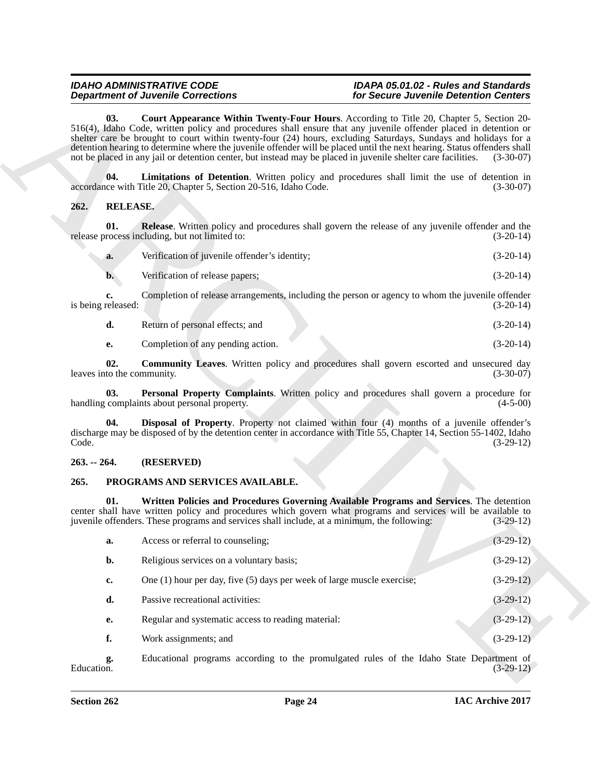## <span id="page-23-3"></span>*IDAHO ADMINISTRATIVE CODE IDAPA 05.01.02 - Rules and Standards*

<span id="page-23-8"></span><span id="page-23-7"></span><span id="page-23-4"></span><span id="page-23-0"></span>

| Verification of juvenile offender's identity; | $(3-20-14)$ |
|-----------------------------------------------|-------------|
|                                               |             |

#### <span id="page-23-10"></span><span id="page-23-9"></span><span id="page-23-1"></span>**263. -- 264. (RESERVED)**

#### <span id="page-23-6"></span><span id="page-23-5"></span><span id="page-23-2"></span>**265. PROGRAMS AND SERVICES AVAILABLE.**

| <b>Department of Juvenile Corrections</b>                                                                                                                                                                                                                                                                      |                                                                                                                      | for Secure Juvenile Detention Centers                                                                                                                                                                                                                                                                                                                                                                                                                                             |             |
|----------------------------------------------------------------------------------------------------------------------------------------------------------------------------------------------------------------------------------------------------------------------------------------------------------------|----------------------------------------------------------------------------------------------------------------------|-----------------------------------------------------------------------------------------------------------------------------------------------------------------------------------------------------------------------------------------------------------------------------------------------------------------------------------------------------------------------------------------------------------------------------------------------------------------------------------|-------------|
| 03.<br>not be placed in any jail or detention center, but instead may be placed in juvenile shelter care facilities.                                                                                                                                                                                           |                                                                                                                      | <b>Court Appearance Within Twenty-Four Hours.</b> According to Title 20, Chapter 5, Section 20-<br>516(4), Idaho Code, written policy and procedures shall ensure that any juvenile offender placed in detention or<br>shelter care be brought to court within twenty-four (24) hours, excluding Saturdays, Sundays and holidays for a<br>detention hearing to determine where the juvenile offender will be placed until the next hearing. Status offenders shall<br>$(3-30-07)$ |             |
| 04.                                                                                                                                                                                                                                                                                                            | accordance with Title 20, Chapter 5, Section 20-516, Idaho Code.                                                     | Limitations of Detention. Written policy and procedures shall limit the use of detention in                                                                                                                                                                                                                                                                                                                                                                                       | $(3-30-07)$ |
| <b>RELEASE.</b><br>262.                                                                                                                                                                                                                                                                                        |                                                                                                                      |                                                                                                                                                                                                                                                                                                                                                                                                                                                                                   |             |
| 01.                                                                                                                                                                                                                                                                                                            | release process including, but not limited to:                                                                       | <b>Release.</b> Written policy and procedures shall govern the release of any juvenile offender and the                                                                                                                                                                                                                                                                                                                                                                           | $(3-20-14)$ |
| a.                                                                                                                                                                                                                                                                                                             | Verification of juvenile offender's identity;                                                                        |                                                                                                                                                                                                                                                                                                                                                                                                                                                                                   | $(3-20-14)$ |
| $\mathbf{b}$ .                                                                                                                                                                                                                                                                                                 | Verification of release papers;                                                                                      |                                                                                                                                                                                                                                                                                                                                                                                                                                                                                   | $(3-20-14)$ |
| c.<br>is being released:                                                                                                                                                                                                                                                                                       |                                                                                                                      | Completion of release arrangements, including the person or agency to whom the juvenile offender                                                                                                                                                                                                                                                                                                                                                                                  | $(3-20-14)$ |
| d.                                                                                                                                                                                                                                                                                                             | Return of personal effects; and                                                                                      |                                                                                                                                                                                                                                                                                                                                                                                                                                                                                   | $(3-20-14)$ |
| е.                                                                                                                                                                                                                                                                                                             | Completion of any pending action.                                                                                    |                                                                                                                                                                                                                                                                                                                                                                                                                                                                                   | $(3-20-14)$ |
| 02.<br>leaves into the community.                                                                                                                                                                                                                                                                              |                                                                                                                      | <b>Community Leaves.</b> Written policy and procedures shall govern escorted and unsecured day                                                                                                                                                                                                                                                                                                                                                                                    | $(3-30-07)$ |
| 03.                                                                                                                                                                                                                                                                                                            | handling complaints about personal property.                                                                         | Personal Property Complaints. Written policy and procedures shall govern a procedure for                                                                                                                                                                                                                                                                                                                                                                                          | $(4-5-00)$  |
| 04.<br>Code.                                                                                                                                                                                                                                                                                                   | discharge may be disposed of by the detention center in accordance with Title 55, Chapter 14, Section 55-1402, Idaho | Disposal of Property. Property not claimed within four (4) months of a juvenile offender's                                                                                                                                                                                                                                                                                                                                                                                        | $(3-29-12)$ |
| $263. - 264.$                                                                                                                                                                                                                                                                                                  | (RESERVED)                                                                                                           |                                                                                                                                                                                                                                                                                                                                                                                                                                                                                   |             |
| 265.                                                                                                                                                                                                                                                                                                           | PROGRAMS AND SERVICES AVAILABLE.                                                                                     |                                                                                                                                                                                                                                                                                                                                                                                                                                                                                   |             |
| Written Policies and Procedures Governing Available Programs and Services. The detention<br>01.<br>center shall have written policy and procedures which govern what programs and services will be available to<br>juvenile offenders. These programs and services shall include, at a minimum, the following: |                                                                                                                      |                                                                                                                                                                                                                                                                                                                                                                                                                                                                                   | $(3-29-12)$ |
| a.                                                                                                                                                                                                                                                                                                             | Access or referral to counseling;                                                                                    |                                                                                                                                                                                                                                                                                                                                                                                                                                                                                   | $(3-29-12)$ |
| b.                                                                                                                                                                                                                                                                                                             | Religious services on a voluntary basis;                                                                             |                                                                                                                                                                                                                                                                                                                                                                                                                                                                                   | $(3-29-12)$ |
| c.                                                                                                                                                                                                                                                                                                             | One $(1)$ hour per day, five $(5)$ days per week of large muscle exercise;                                           |                                                                                                                                                                                                                                                                                                                                                                                                                                                                                   | $(3-29-12)$ |
| d.                                                                                                                                                                                                                                                                                                             | Passive recreational activities:                                                                                     |                                                                                                                                                                                                                                                                                                                                                                                                                                                                                   | $(3-29-12)$ |
| е.                                                                                                                                                                                                                                                                                                             | Regular and systematic access to reading material:                                                                   |                                                                                                                                                                                                                                                                                                                                                                                                                                                                                   | $(3-29-12)$ |
| f.                                                                                                                                                                                                                                                                                                             | Work assignments; and                                                                                                |                                                                                                                                                                                                                                                                                                                                                                                                                                                                                   | $(3-29-12)$ |
|                                                                                                                                                                                                                                                                                                                |                                                                                                                      |                                                                                                                                                                                                                                                                                                                                                                                                                                                                                   |             |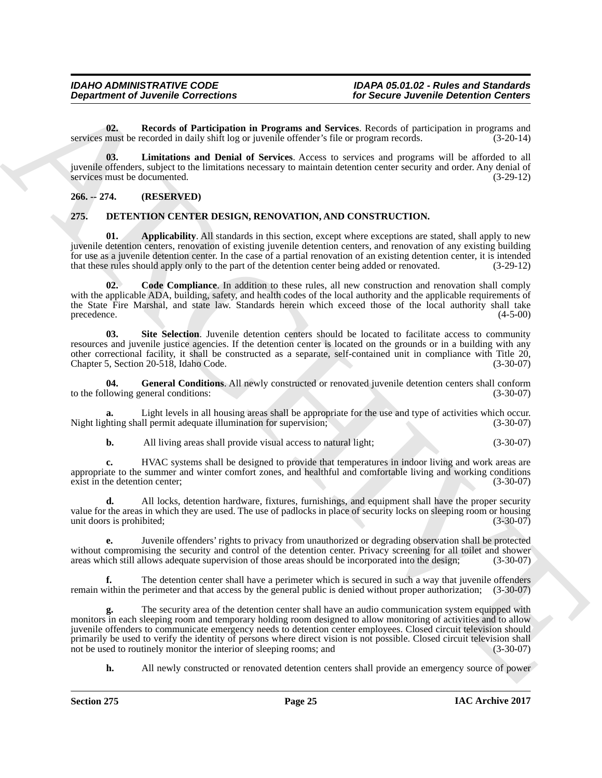<span id="page-24-8"></span>**02. Records of Participation in Programs and Services**. Records of participation in programs and must be recorded in daily shift log or juvenile offender's file or program records. (3-20-14) services must be recorded in daily shift log or juvenile offender's file or program records.

<span id="page-24-7"></span>**03. Limitations and Denial of Services**. Access to services and programs will be afforded to all juvenile offenders, subject to the limitations necessary to maintain detention center security and order. Any denial of services must be documented.

#### <span id="page-24-0"></span>**266. -- 274. (RESERVED)**

#### <span id="page-24-2"></span><span id="page-24-1"></span>**275. DETENTION CENTER DESIGN, RENOVATION, AND CONSTRUCTION.**

<span id="page-24-3"></span>**01. Applicability**. All standards in this section, except where exceptions are stated, shall apply to new juvenile detention centers, renovation of existing juvenile detention centers, and renovation of any existing building for use as a juvenile detention center. In the case of a partial renovation of an existing detention center, it is intended that these rules should apply only to the part of the detention center being added or renovated. ( that these rules should apply only to the part of the detention center being added or renovated.

<span id="page-24-4"></span>**02. Code Compliance**. In addition to these rules, all new construction and renovation shall comply with the applicable ADA, building, safety, and health codes of the local authority and the applicable requirements of the State Fire Marshal, and state law. Standards herein which exceed those of the local authority shall take precedence. (4-5-00) precedence. (4-5-00)

<span id="page-24-6"></span>**03. Site Selection**. Juvenile detention centers should be located to facilitate access to community resources and juvenile justice agencies. If the detention center is located on the grounds or in a building with any other correctional facility, it shall be constructed as a separate, self-contained unit in compliance with Title 20, Chapter 5, Section 20-518, Idaho Code.

<span id="page-24-5"></span>**04.** General Conditions. All newly constructed or renovated juvenile detention centers shall conform lowing general conditions: (3-30-07) to the following general conditions:

**a.** Light levels in all housing areas shall be appropriate for the use and type of activities which occur.<br>hting shall permit adequate illumination for supervision; (3-30-07) Night lighting shall permit adequate illumination for supervision;

**b.** All living areas shall provide visual access to natural light; (3-30-07)

**c.** HVAC systems shall be designed to provide that temperatures in indoor living and work areas are appropriate to the summer and winter comfort zones, and healthful and comfortable living and working conditions exist in the detention center; (3-30-07)

**d.** All locks, detention hardware, fixtures, furnishings, and equipment shall have the proper security value for the areas in which they are used. The use of padlocks in place of security locks on sleeping room or housing<br>(3-30-07) unit doors is prohibited; unit doors is prohibited; (3-30-07)

**e.** Juvenile offenders' rights to privacy from unauthorized or degrading observation shall be protected without compromising the security and control of the detention center. Privacy screening for all toilet and shower areas which still allows adequate supervision of those areas should be incorporated into the design: (3-30areas which still allows adequate supervision of those areas should be incorporated into the design;

**f.** The detention center shall have a perimeter which is secured in such a way that juvenile offenders remain within the perimeter and that access by the general public is denied without proper authorization; (3-30-07)

**Department of Juvenile Corrections**<br>
Gives the result of Particulation in Programs and Services. Recent of version Detection Correction and<br>
services and the result of Particulation and Detection Correction Access to the **g.** The security area of the detention center shall have an audio communication system equipped with monitors in each sleeping room and temporary holding room designed to allow monitoring of activities and to allow juvenile offenders to communicate emergency needs to detention center employees. Closed circuit television should primarily be used to verify the identity of persons where direct vision is not possible. Closed circuit television shall not be used to routinely monitor the interior of sleeping rooms; and (3-30-07) not be used to routinely monitor the interior of sleeping rooms; and

**h.** All newly constructed or renovated detention centers shall provide an emergency source of power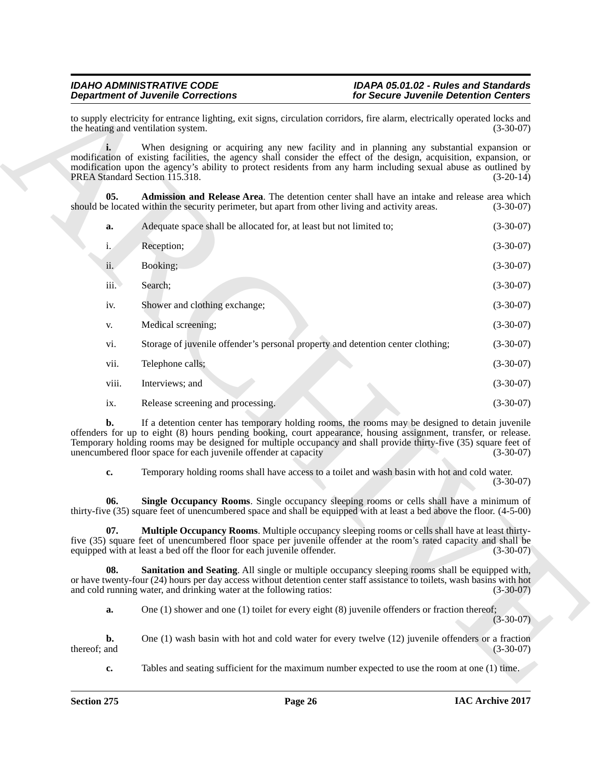<span id="page-25-3"></span><span id="page-25-2"></span><span id="page-25-1"></span><span id="page-25-0"></span>

|                                                                                                                                                                                                                                                                                                                                                                                                                                 | <b>Department of Juvenile Corrections</b>                                                                                                                                                       | for Secure Juvenile Detention Centers                                                                                                      |             |  |
|---------------------------------------------------------------------------------------------------------------------------------------------------------------------------------------------------------------------------------------------------------------------------------------------------------------------------------------------------------------------------------------------------------------------------------|-------------------------------------------------------------------------------------------------------------------------------------------------------------------------------------------------|--------------------------------------------------------------------------------------------------------------------------------------------|-------------|--|
| the heating and ventilation system.                                                                                                                                                                                                                                                                                                                                                                                             |                                                                                                                                                                                                 | to supply electricity for entrance lighting, exit signs, circulation corridors, fire alarm, electrically operated locks and<br>$(3-30-07)$ |             |  |
| When designing or acquiring any new facility and in planning any substantial expansion or<br>modification of existing facilities, the agency shall consider the effect of the design, acquisition, expansion, or<br>modification upon the agency's ability to protect residents from any harm including sexual abuse as outlined by<br>PREA Standard Section 115.318.<br>$(3-20-14)$                                            |                                                                                                                                                                                                 |                                                                                                                                            |             |  |
| 05.                                                                                                                                                                                                                                                                                                                                                                                                                             | should be located within the security perimeter, but apart from other living and activity areas.                                                                                                | Admission and Release Area. The detention center shall have an intake and release area which                                               | $(3-30-07)$ |  |
| a.                                                                                                                                                                                                                                                                                                                                                                                                                              | Adequate space shall be allocated for, at least but not limited to;                                                                                                                             |                                                                                                                                            | $(3-30-07)$ |  |
| $i_{\cdot}$                                                                                                                                                                                                                                                                                                                                                                                                                     | Reception;                                                                                                                                                                                      |                                                                                                                                            | $(3-30-07)$ |  |
| ii.                                                                                                                                                                                                                                                                                                                                                                                                                             | Booking;                                                                                                                                                                                        |                                                                                                                                            | $(3-30-07)$ |  |
| iii.                                                                                                                                                                                                                                                                                                                                                                                                                            | Search;                                                                                                                                                                                         |                                                                                                                                            | $(3-30-07)$ |  |
| iv.                                                                                                                                                                                                                                                                                                                                                                                                                             | Shower and clothing exchange;                                                                                                                                                                   |                                                                                                                                            | $(3-30-07)$ |  |
| V.                                                                                                                                                                                                                                                                                                                                                                                                                              | Medical screening;                                                                                                                                                                              |                                                                                                                                            | $(3-30-07)$ |  |
| vi.                                                                                                                                                                                                                                                                                                                                                                                                                             | Storage of juvenile offender's personal property and detention center clothing;                                                                                                                 |                                                                                                                                            | $(3-30-07)$ |  |
| vii.                                                                                                                                                                                                                                                                                                                                                                                                                            | Telephone calls;                                                                                                                                                                                |                                                                                                                                            | $(3-30-07)$ |  |
| viii.                                                                                                                                                                                                                                                                                                                                                                                                                           | Interviews; and                                                                                                                                                                                 |                                                                                                                                            | $(3-30-07)$ |  |
| ix.                                                                                                                                                                                                                                                                                                                                                                                                                             | Release screening and processing.                                                                                                                                                               |                                                                                                                                            | $(3-30-07)$ |  |
| If a detention center has temporary holding rooms, the rooms may be designed to detain juvenile<br>b.<br>offenders for up to eight (8) hours pending booking, court appearance, housing assignment, transfer, or release.<br>Temporary holding rooms may be designed for multiple occupancy and shall provide thirty-five (35) square feet of<br>unencumbered floor space for each juvenile offender at capacity<br>$(3-30-07)$ |                                                                                                                                                                                                 |                                                                                                                                            |             |  |
| c.                                                                                                                                                                                                                                                                                                                                                                                                                              |                                                                                                                                                                                                 | Temporary holding rooms shall have access to a toilet and wash basin with hot and cold water.                                              | $(3-30-07)$ |  |
| Single Occupancy Rooms. Single occupancy sleeping rooms or cells shall have a minimum of<br>06.<br>thirty-five (35) square feet of unencumbered space and shall be equipped with at least a bed above the floor. (4-5-00)                                                                                                                                                                                                       |                                                                                                                                                                                                 |                                                                                                                                            |             |  |
| 07.                                                                                                                                                                                                                                                                                                                                                                                                                             | five (35) square feet of unencumbered floor space per juvenile offender at the room's rated capacity and shall be<br>equipped with at least a bed off the floor for each juvenile offender.     | Multiple Occupancy Rooms. Multiple occupancy sleeping rooms or cells shall have at least thirty-                                           | $(3-30-07)$ |  |
| 08.                                                                                                                                                                                                                                                                                                                                                                                                                             | or have twenty-four (24) hours per day access without detention center staff assistance to toilets, wash basins with hot<br>and cold running water, and drinking water at the following ratios: | Sanitation and Seating. All single or multiple occupancy sleeping rooms shall be equipped with,                                            | $(3-30-07)$ |  |
| a.                                                                                                                                                                                                                                                                                                                                                                                                                              |                                                                                                                                                                                                 | One $(1)$ shower and one $(1)$ toilet for every eight $(8)$ juvenile offenders or fraction thereof;                                        | $(3-30-07)$ |  |
| b.<br>thereof; and                                                                                                                                                                                                                                                                                                                                                                                                              |                                                                                                                                                                                                 | One (1) wash basin with hot and cold water for every twelve (12) juvenile offenders or a fraction                                          | $(3-30-07)$ |  |
| c.                                                                                                                                                                                                                                                                                                                                                                                                                              |                                                                                                                                                                                                 | Tables and seating sufficient for the maximum number expected to use the room at one (1) time.                                             |             |  |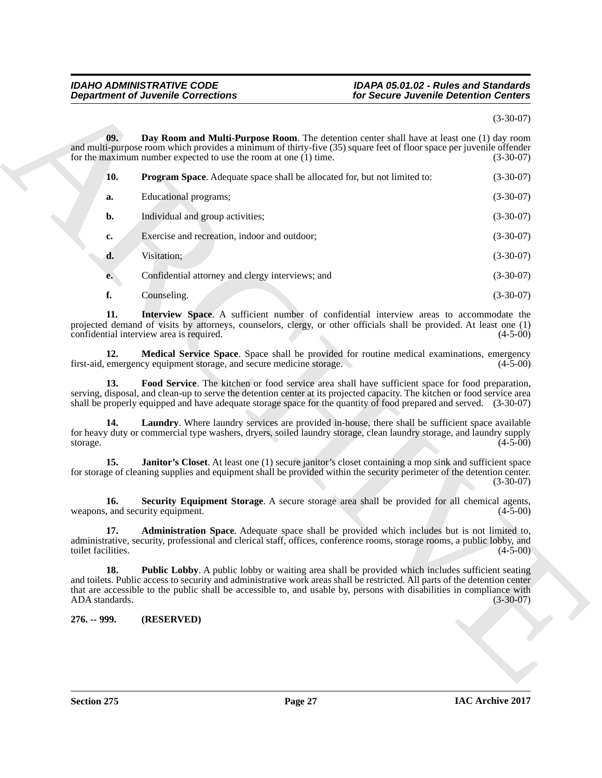### *Department of Juvenile Corrections for Secure Juvenile Detention Centers*

## <span id="page-26-10"></span><span id="page-26-9"></span><span id="page-26-8"></span><span id="page-26-7"></span><span id="page-26-6"></span><span id="page-26-5"></span><span id="page-26-4"></span><span id="page-26-3"></span><span id="page-26-2"></span><span id="page-26-1"></span>*IDAHO ADMINISTRATIVE CODE IDAPA 05.01.02 - Rules and Standards*

#### (3-30-07)

<span id="page-26-0"></span>

| <b>Department of Juvenile Corrections</b>                                                                                                                                                                                                                                                                                                                       | for Secure Juvenile Detention Centers |  |
|-----------------------------------------------------------------------------------------------------------------------------------------------------------------------------------------------------------------------------------------------------------------------------------------------------------------------------------------------------------------|---------------------------------------|--|
|                                                                                                                                                                                                                                                                                                                                                                 | $(3-30-07)$                           |  |
| 09.<br>Day Room and Multi-Purpose Room. The detention center shall have at least one (1) day room<br>and multi-purpose room which provides a minimum of thirty-five (35) square feet of floor space per juvenile offender<br>for the maximum number expected to use the room at one $(1)$ time.                                                                 | $(3-30-07)$                           |  |
| 10.<br>Program Space. Adequate space shall be allocated for, but not limited to:                                                                                                                                                                                                                                                                                | $(3-30-07)$                           |  |
| Educational programs;<br>a.                                                                                                                                                                                                                                                                                                                                     | $(3-30-07)$                           |  |
| Individual and group activities;<br>b.                                                                                                                                                                                                                                                                                                                          | $(3-30-07)$                           |  |
| Exercise and recreation, indoor and outdoor;<br>c.                                                                                                                                                                                                                                                                                                              | $(3-30-07)$                           |  |
| Visitation;<br>d.                                                                                                                                                                                                                                                                                                                                               | $(3-30-07)$                           |  |
| Confidential attorney and clergy interviews; and<br>e.                                                                                                                                                                                                                                                                                                          | $(3-30-07)$                           |  |
| f.<br>Counseling.                                                                                                                                                                                                                                                                                                                                               | $(3-30-07)$                           |  |
| Interview Space. A sufficient number of confidential interview areas to accommodate the<br>11.<br>projected demand of visits by attorneys, counselors, clergy, or other officials shall be provided. At least one (1)<br>confidential interview area is required.                                                                                               | $(4-5-00)$                            |  |
| 12.<br>Medical Service Space. Space shall be provided for routine medical examinations, emergency<br>first-aid, emergency equipment storage, and secure medicine storage.                                                                                                                                                                                       | $(4-5-00)$                            |  |
| Food Service. The kitchen or food service area shall have sufficient space for food preparation,<br>13.<br>serving, disposal, and clean-up to serve the detention center at its projected capacity. The kitchen or food service area<br>shall be properly equipped and have adequate storage space for the quantity of food prepared and served. (3-30-07)      |                                       |  |
| 14.<br><b>Laundry.</b> Where laundry services are provided in-house, there shall be sufficient space available<br>for heavy duty or commercial type washers, dryers, soiled laundry storage, clean laundry storage, and laundry supply<br>storage.                                                                                                              | $(4-5-00)$                            |  |
| <b>Janitor's Closet.</b> At least one (1) secure janitor's closet containing a mop sink and sufficient space<br>15.<br>for storage of cleaning supplies and equipment shall be provided within the security perimeter of the detention center.                                                                                                                  | $(3-30-07)$                           |  |
| Security Equipment Storage. A secure storage area shall be provided for all chemical agents,<br>16.<br>weapons, and security equipment.                                                                                                                                                                                                                         | $(4-5-00)$                            |  |
| Administration Space. Adequate space shall be provided which includes but is not limited to,<br>17.<br>administrative, security, professional and clerical staff, offices, conference rooms, storage rooms, a public lobby, and<br>toilet facilities.                                                                                                           | $(4-5-00)$                            |  |
| 18.<br>Public Lobby. A public lobby or waiting area shall be provided which includes sufficient seating<br>and toilets. Public access to security and administrative work areas shall be restricted. All parts of the detention center<br>that are accessible to the public shall be accessible to, and usable by, persons with disabilities in compliance with |                                       |  |
| ADA standards.                                                                                                                                                                                                                                                                                                                                                  | $(3-30-07)$                           |  |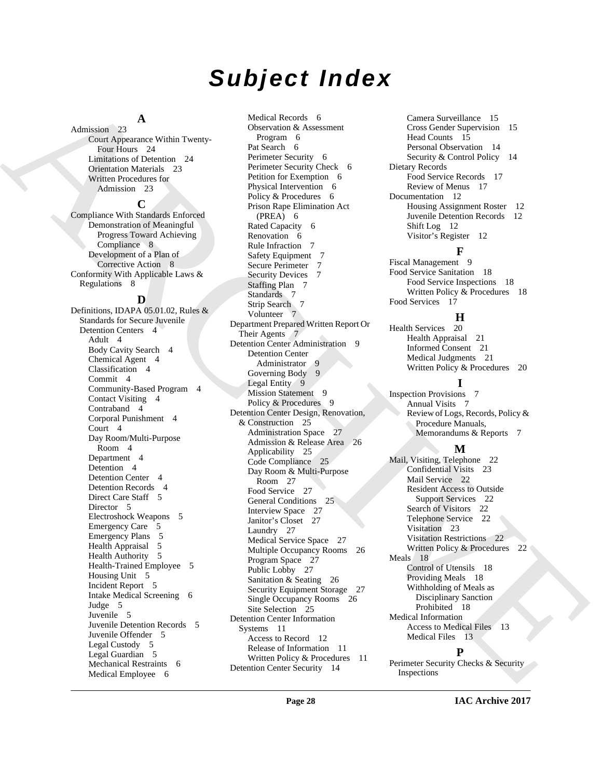# *Subject Index*

### **A**

Admission 23 Court Appearance Within Twenty-Four Hours 24 Limitations of Detention 24 Orientation Materials 23 Written Procedures for Admission 23

#### **C**

Compliance With Standards Enforced Demonstration of Meaningful Progress Toward Achieving Compliance 8 Development of a Plan of Corrective Action 8 Conformity With Applicable Laws & Regulations 8

#### **D**

Definitions, IDAPA 05.01.02, Rules & Standards for Secure Juvenile Detention Centers 4 Adult 4 Body Cavity Search 4 Chemical Agent 4 Classification 4 Commit 4 Community-Based Program 4 Contact Visiting 4 Contraband 4 Corporal Punishment 4 Court 4 Day Room/Multi-Purpose Room 4 Department 4 Detention 4 Detention Center 4 Detention Records 4 Direct Care Staff 5 Director 5 Electroshock Weapons 5 Emergency Care 5 Emergency Plans 5 Health Appraisal 5 Health Authority 5 Health-Trained Employee 5 Housing Unit 5 Incident Report 5 Intake Medical Screening 6 Judge 5 Juvenile 5 Juvenile Detention Records 5 Juvenile Offender 5 Legal Custody 5 Legal Guardian 5 Mechanical Restraints 6 Medical Employee 6

[AR](#page-7-2)[C](#page-6-12)[H](#page-8-5)[I](#page-6-15)[VE](#page-17-10) Medical Records 6 Observation & Assessment Program 6 Pat Search 6 Perimeter Security 6 Perimeter Security Check 6 Petition for Exemption 6 Physical Intervention 6 Policy & Procedures 6 Prison Rape Elimination Act (PREA) 6 Rated Capacity 6 Renovation 6 Rule Infraction 7 Safety Equipment 7 Secure Perimeter 7 Security Devices 7 Staffing Plan 7 Standards 7 Strip Search 7 Volunteer 7 Department Prepared Written Report Or Their Agents 7 Detention Center Administration 9 Detention Center Administrator 9 Governing Body 9 Legal Entity 9 Mission Statement 9 Policy & Procedures 9 Detention Center Design, Renovation, & Construction 25 Administration Space 27 Admission & Release Area 26 Applicability 25 Code Compliance 25 Day Room & Multi-Purpose Room 27 Food Service 27 General Conditions 25 Interview Space 27 Janitor's Closet 27 Laundry 27 Medical Service Space 27 Multiple Occupancy Rooms 26 Program Space 27 Public Lobby 27 Sanitation & Seating 26 Security Equipment Storage 27 Single Occupancy Rooms 26 Site Selection 25 Detention Center Information Systems 11 Access to Record 12 Release of Information 11 Written Policy & Procedures 11 Detention Center Security 14

Camera Surveillance 15 Cross Gender Supervision 15 Head Counts 15 Personal Observation 14 Security & Control Policy 14 Dietary Records Food Service Records 17 Review of Menus 17 Documentation 12 Housing Assignment Roster 12 Juvenile Detention Records 12 Shift Log 12 Visitor's Register 12

### **F**

Fiscal Management 9 Food Service Sanitation 18 Food Service Inspections 18 Written Policy & Procedures 18 Food Services 17

### **H**

Health Services 20 Health Appraisal 21 Informed Consent 21 Medical Judgments 21 Written Policy & Procedures 20

#### **I**

Inspection Provisions 7 Annual Visits 7 Review of Logs, Records, Policy & Procedure Manuals, Memorandums & Reports 7

### **M**

Mail, Visiting, Telephone 22 Confidential Visits 23 Mail Service 22 Resident Access to Outside Support Services 22 Search of Visitors 22 Telephone Service 22 Visitation 23 Visitation Restrictions 22 Written Policy & Procedures 22 Meals 18 Control of Utensils 18 Providing Meals 18 Withholding of Meals as Disciplinary Sanction Prohibited 18 Medical Information Access to Medical Files 13 Medical Files 13

#### **P**

Perimeter Security Checks & Security Inspections